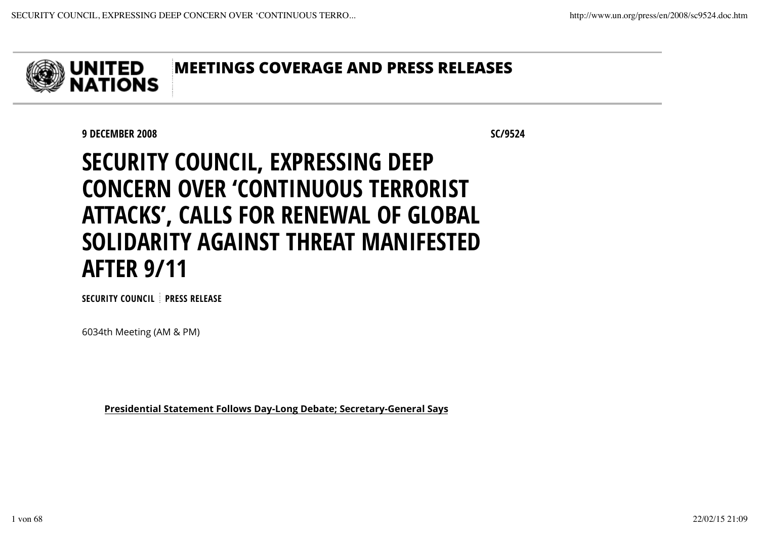

9 DECEMBER 2008 SC/9524

# SECURITY COUNCIL, EXPRESSING DEEP CONCERN OVER 'CONTINUOUS TERRORIST ATTACKS', CALLS FOR RENEWAL OF GLOBAL SOLIDARITY AGAINST THREAT MANIFESTED AFTER 9/11

SECURITY COUNCIL PRESS RELEASE

6034th Meeting (AM & PM)

Presidential Statement Follows Day-Long Debate; Secretary-General Says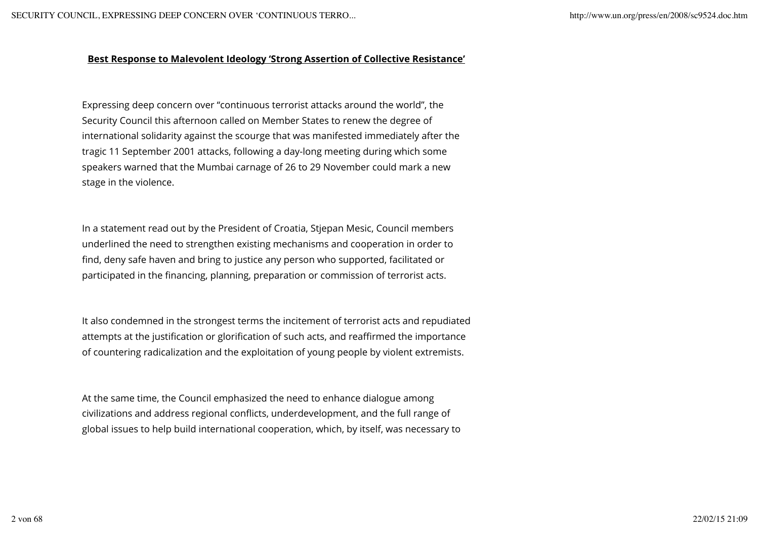#### Best Response to Malevolent Ideology 'Strong Assertion of Collective Resistance'

Expressing deep concern over "continuous terrorist attacks around the world", the Security Council this afternoon called on Member States to renew the degree of international solidarity against the scourge that was manifested immediately after the tragic 11 September 2001 attacks, following a day-long meeting during which some speakers warned that the Mumbai carnage of 26 to 29 November could mark a new stage in the violence.

In a statement read out by the President of Croatia, Stjepan Mesic, Council members underlined the need to strengthen existing mechanisms and cooperation in order to find, deny safe haven and bring to justice any person who supported, facilitated or participated in the financing, planning, preparation or commission of terrorist acts.

It also condemned in the strongest terms the incitement of terrorist acts and repudiated attempts at the justification or glorification of such acts, and reaffirmed the importance of countering radicalization and the exploitation of young people by violent extremists.

At the same time, the Council emphasized the need to enhance dialogue among civilizations and address regional conflicts, underdevelopment, and the full range of global issues to help build international cooperation, which, by itself, was necessary to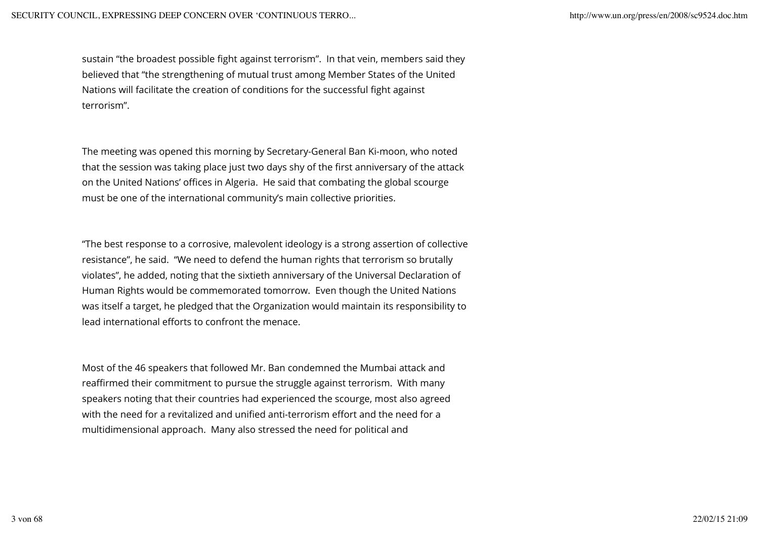sustain "the broadest possible fight against terrorism". In that vein, members said they believed that "the strengthening of mutual trust among Member States of the United Nations will facilitate the creation of conditions for the successful fight against terrorism".

The meeting was opened this morning by Secretary-General Ban Ki-moon, who noted that the session was taking place just two days shy of the first anniversary of the attack on the United Nations' offices in Algeria. He said that combating the global scourge must be one of the international community's main collective priorities.

"The best response to a corrosive, malevolent ideology is a strong assertion of collective resistance", he said. "We need to defend the human rights that terrorism so brutally violates", he added, noting that the sixtieth anniversary of the Universal Declaration of Human Rights would be commemorated tomorrow. Even though the United Nations was itself a target, he pledged that the Organization would maintain its responsibility to lead international efforts to confront the menace.

Most of the 46 speakers that followed Mr. Ban condemned the Mumbai attack and reaffirmed their commitment to pursue the struggle against terrorism. With many speakers noting that their countries had experienced the scourge, most also agreed with the need for a revitalized and unified anti-terrorism effort and the need for a multidimensional approach. Many also stressed the need for political and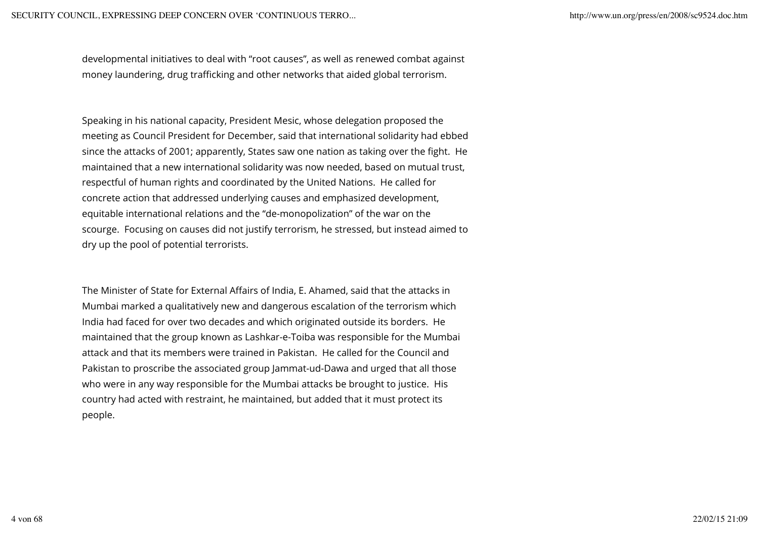developmental initiatives to deal with "root causes", as well as renewed combat against money laundering, drug trafficking and other networks that aided global terrorism.

Speaking in his national capacity, President Mesic, whose delegation proposed the meeting as Council President for December, said that international solidarity had ebbed since the attacks of 2001; apparently, States saw one nation as taking over the fight. He maintained that a new international solidarity was now needed, based on mutual trust, respectful of human rights and coordinated by the United Nations. He called for concrete action that addressed underlying causes and emphasized development, equitable international relations and the "de-monopolization" of the war on the scourge. Focusing on causes did not justify terrorism, he stressed, but instead aimed to dry up the pool of potential terrorists.

The Minister of State for External Affairs of India, E. Ahamed, said that the attacks in Mumbai marked a qualitatively new and dangerous escalation of the terrorism which India had faced for over two decades and which originated outside its borders. He maintained that the group known as Lashkar-e-Toiba was responsible for the Mumbai attack and that its members were trained in Pakistan. He called for the Council and Pakistan to proscribe the associated group Jammat-ud-Dawa and urged that all those who were in any way responsible for the Mumbai attacks be brought to justice. His country had acted with restraint, he maintained, but added that it must protect its people.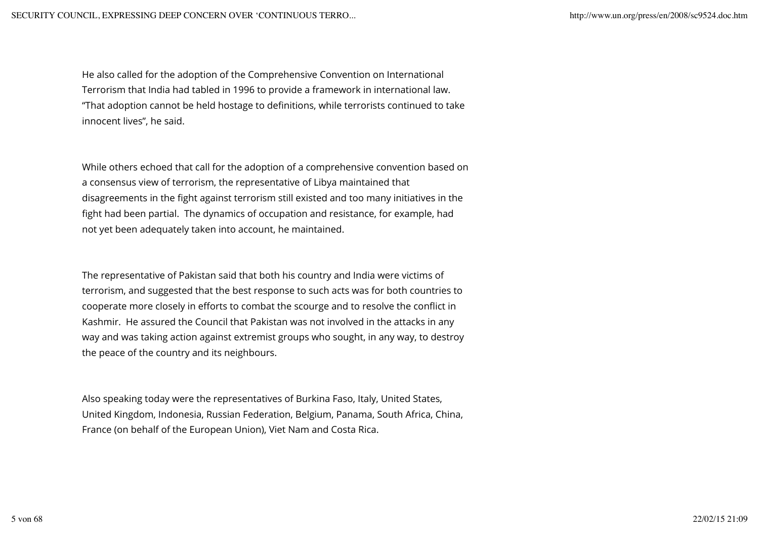He also called for the adoption of the Comprehensive Convention on International Terrorism that India had tabled in 1996 to provide a framework in international law. "That adoption cannot be held hostage to definitions, while terrorists continued to take innocent lives", he said.

While others echoed that call for the adoption of a comprehensive convention based on a consensus view of terrorism, the representative of Libya maintained that disagreements in the fight against terrorism still existed and too many initiatives in the fight had been partial. The dynamics of occupation and resistance, for example, had not yet been adequately taken into account, he maintained.

The representative of Pakistan said that both his country and India were victims of terrorism, and suggested that the best response to such acts was for both countries to cooperate more closely in efforts to combat the scourge and to resolve the conflict in Kashmir. He assured the Council that Pakistan was not involved in the attacks in any way and was taking action against extremist groups who sought, in any way, to destroy the peace of the country and its neighbours.

Also speaking today were the representatives of Burkina Faso, Italy, United States, United Kingdom, Indonesia, Russian Federation, Belgium, Panama, South Africa, China, France (on behalf of the European Union), Viet Nam and Costa Rica.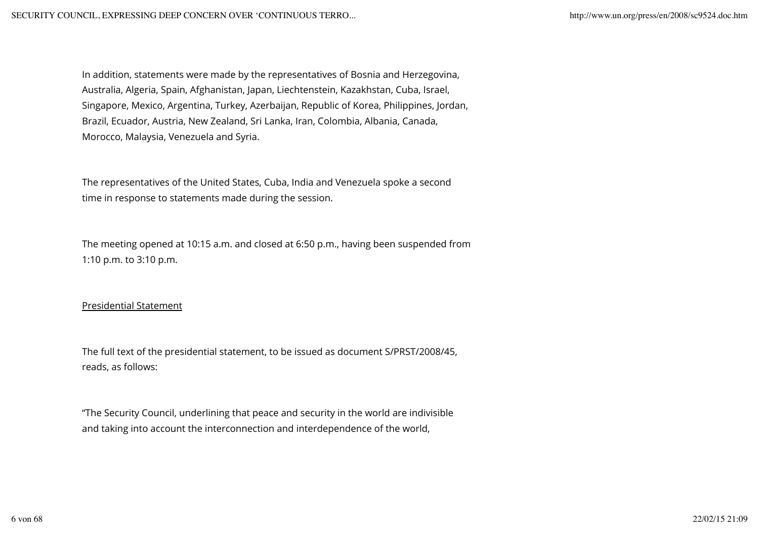In addition, statements were made by the representatives of Bosnia and Herzegovina, Australia, Algeria, Spain, Afghanistan, Japan, Liechtenstein, Kazakhstan, Cuba, Israel, Singapore, Mexico, Argentina, Turkey, Azerbaijan, Republic of Korea, Philippines, Jordan, Brazil, Ecuador, Austria, New Zealand, Sri Lanka, Iran, Colombia, Albania, Canada, Morocco, Malaysia, Venezuela and Syria.

The representatives of the United States, Cuba, India and Venezuela spoke a second time in response to statements made during the session.

The meeting opened at 10:15 a.m. and closed at 6:50 p.m., having been suspended from 1:10 p.m. to 3:10 p.m.

## Presidential Statement

The full text of the presidential statement, to be issued as document S/PRST/2008/45, reads, as follows:

"The Security Council, underlining that peace and security in the world are indivisible and taking into account the interconnection and interdependence of the world,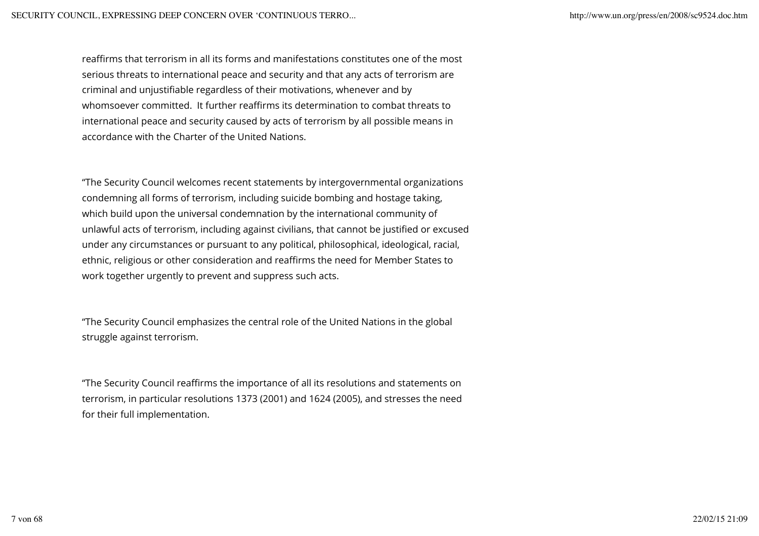reaffirms that terrorism in all its forms and manifestations constitutes one of the most serious threats to international peace and security and that any acts of terrorism are criminal and unjustifiable regardless of their motivations, whenever and by whomsoever committed. It further reaffirms its determination to combat threats to international peace and security caused by acts of terrorism by all possible means in accordance with the Charter of the United Nations.

"The Security Council welcomes recent statements by intergovernmental organizations condemning all forms of terrorism, including suicide bombing and hostage taking, which build upon the universal condemnation by the international community of unlawful acts of terrorism, including against civilians, that cannot be justified or excused under any circumstances or pursuant to any political, philosophical, ideological, racial, ethnic, religious or other consideration and reaffirms the need for Member States to work together urgently to prevent and suppress such acts.

"The Security Council emphasizes the central role of the United Nations in the global struggle against terrorism.

"The Security Council reaffirms the importance of all its resolutions and statements on terrorism, in particular resolutions 1373 (2001) and 1624 (2005), and stresses the need for their full implementation.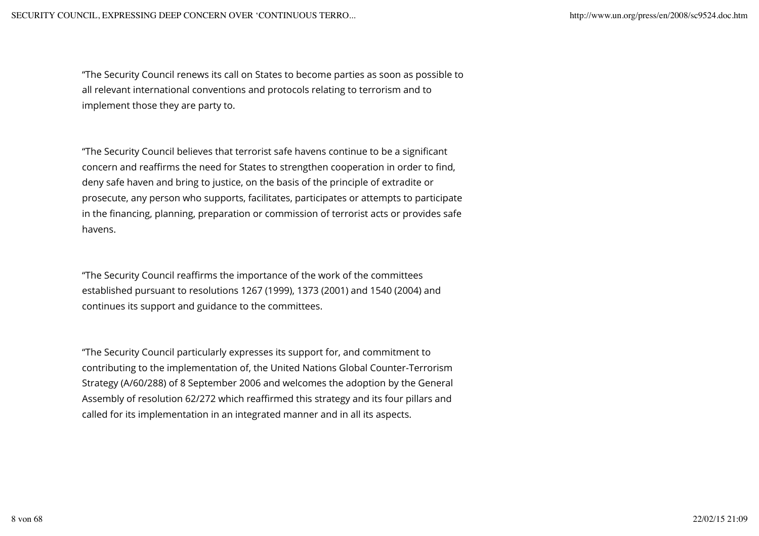"The Security Council renews its call on States to become parties as soon as possible to all relevant international conventions and protocols relating to terrorism and to implement those they are party to.

"The Security Council believes that terrorist safe havens continue to be a significant concern and reaffirms the need for States to strengthen cooperation in order to find, deny safe haven and bring to justice, on the basis of the principle of extradite or prosecute, any person who supports, facilitates, participates or attempts to participate in the financing, planning, preparation or commission of terrorist acts or provides safe havens.

"The Security Council reaffirms the importance of the work of the committees established pursuant to resolutions 1267 (1999), 1373 (2001) and 1540 (2004) and continues its support and guidance to the committees.

"The Security Council particularly expresses its support for, and commitment to contributing to the implementation of, the United Nations Global Counter-Terrorism Strategy (A/60/288) of 8 September 2006 and welcomes the adoption by the General Assembly of resolution 62/272 which reaffirmed this strategy and its four pillars and called for its implementation in an integrated manner and in all its aspects.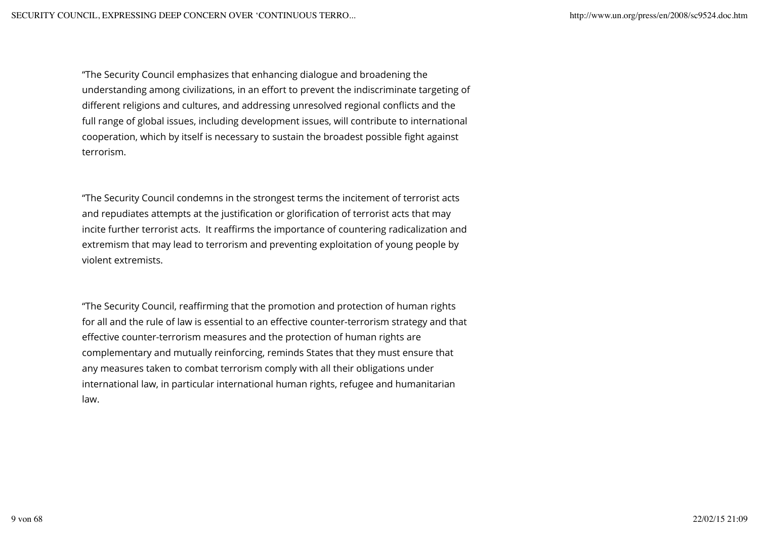"The Security Council emphasizes that enhancing dialogue and broadening the understanding among civilizations, in an effort to prevent the indiscriminate targeting of different religions and cultures, and addressing unresolved regional conflicts and the full range of global issues, including development issues, will contribute to international cooperation, which by itself is necessary to sustain the broadest possible fight against terrorism.

"The Security Council condemns in the strongest terms the incitement of terrorist acts and repudiates attempts at the justification or glorification of terrorist acts that may incite further terrorist acts. It reaffirms the importance of countering radicalization and extremism that may lead to terrorism and preventing exploitation of young people by violent extremists.

"The Security Council, reaffirming that the promotion and protection of human rights for all and the rule of law is essential to an effective counter-terrorism strategy and that effective counter-terrorism measures and the protection of human rights are complementary and mutually reinforcing, reminds States that they must ensure that any measures taken to combat terrorism comply with all their obligations under international law, in particular international human rights, refugee and humanitarian law.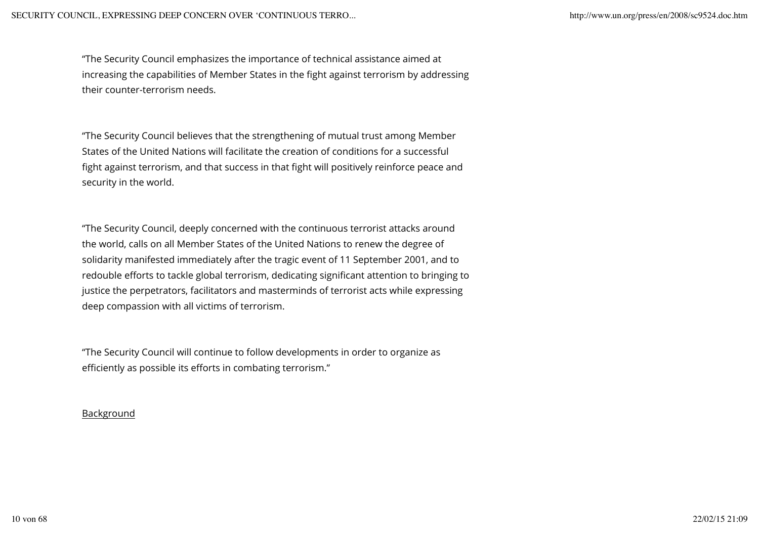"The Security Council emphasizes the importance of technical assistance aimed at increasing the capabilities of Member States in the fight against terrorism by addressing their counter-terrorism needs.

"The Security Council believes that the strengthening of mutual trust among Member States of the United Nations will facilitate the creation of conditions for a successful fight against terrorism, and that success in that fight will positively reinforce peace and security in the world.

"The Security Council, deeply concerned with the continuous terrorist attacks around the world, calls on all Member States of the United Nations to renew the degree of solidarity manifested immediately after the tragic event of 11 September 2001, and to redouble efforts to tackle global terrorism, dedicating significant attention to bringing to justice the perpetrators, facilitators and masterminds of terrorist acts while expressing deep compassion with all victims of terrorism.

"The Security Council will continue to follow developments in order to organize as efficiently as possible its efforts in combating terrorism."

### Background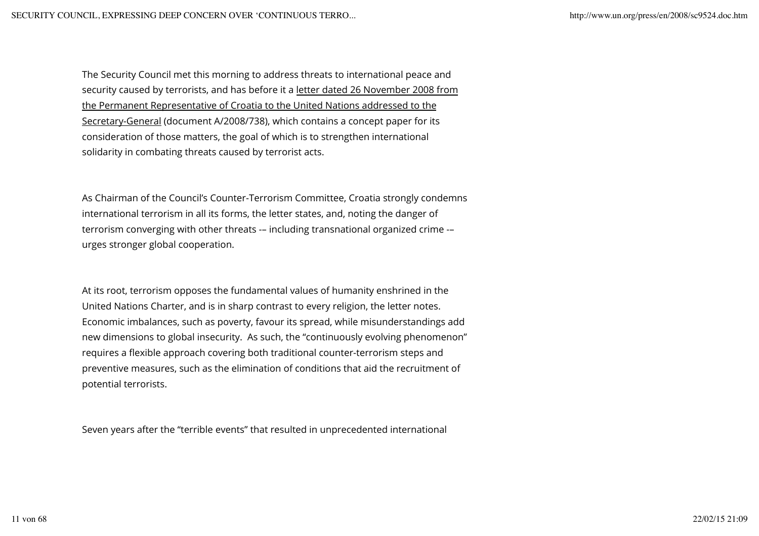The Security Council met this morning to address threats to international peace and security caused by terrorists, and has before it a letter dated 26 November 2008 from the Permanent Representative of Croatia to the United Nations addressed to the Secretary-General (document A/2008/738), which contains a concept paper for its consideration of those matters, the goal of which is to strengthen international solidarity in combating threats caused by terrorist acts.

As Chairman of the Council's Counter-Terrorism Committee, Croatia strongly condemns international terrorism in all its forms, the letter states, and, noting the danger of terrorism converging with other threats -– including transnational organized crime -– urges stronger global cooperation.

At its root, terrorism opposes the fundamental values of humanity enshrined in the United Nations Charter, and is in sharp contrast to every religion, the letter notes. Economic imbalances, such as poverty, favour its spread, while misunderstandings add new dimensions to global insecurity. As such, the "continuously evolving phenomenon" requires a flexible approach covering both traditional counter-terrorism steps and preventive measures, such as the elimination of conditions that aid the recruitment of potential terrorists.

Seven years after the "terrible events" that resulted in unprecedented international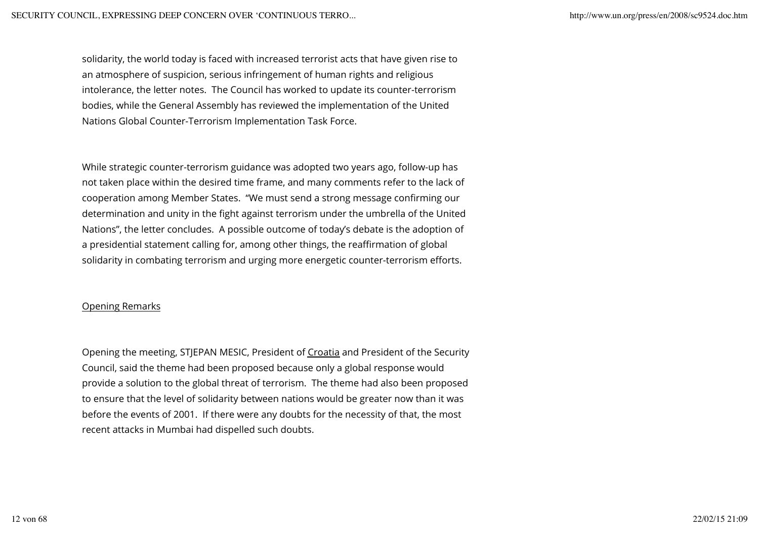solidarity, the world today is faced with increased terrorist acts that have given rise to an atmosphere of suspicion, serious infringement of human rights and religious intolerance, the letter notes. The Council has worked to update its counter-terrorism bodies, while the General Assembly has reviewed the implementation of the United Nations Global Counter-Terrorism Implementation Task Force.

While strategic counter-terrorism guidance was adopted two years ago, follow-up has not taken place within the desired time frame, and many comments refer to the lack of cooperation among Member States. "We must send a strong message confirming our determination and unity in the fight against terrorism under the umbrella of the United Nations", the letter concludes. A possible outcome of today's debate is the adoption of a presidential statement calling for, among other things, the reaffirmation of global solidarity in combating terrorism and urging more energetic counter-terrorism efforts.

#### Opening Remarks

Opening the meeting, STJEPAN MESIC, President of Croatia and President of the Security Council, said the theme had been proposed because only a global response would provide a solution to the global threat of terrorism. The theme had also been proposed to ensure that the level of solidarity between nations would be greater now than it was before the events of 2001. If there were any doubts for the necessity of that, the most recent attacks in Mumbai had dispelled such doubts.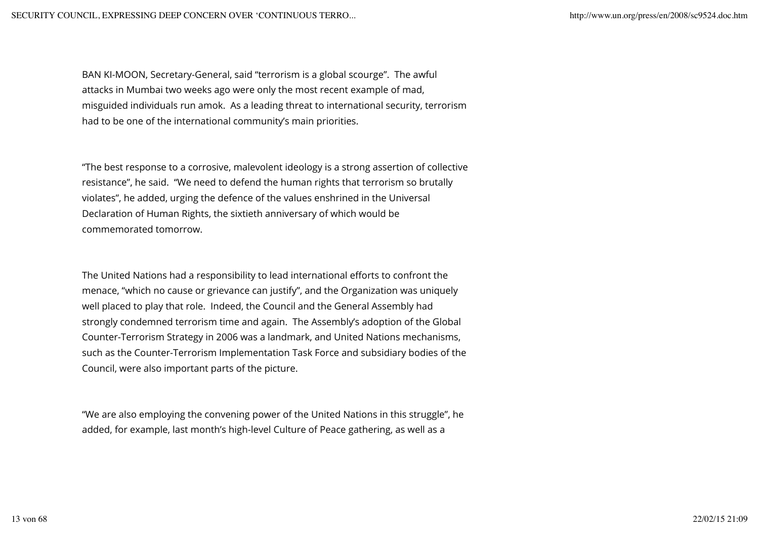BAN KI-MOON, Secretary-General, said "terrorism is a global scourge". The awful attacks in Mumbai two weeks ago were only the most recent example of mad, misguided individuals run amok. As a leading threat to international security, terrorism had to be one of the international community's main priorities.

"The best response to a corrosive, malevolent ideology is a strong assertion of collective resistance", he said. "We need to defend the human rights that terrorism so brutally violates", he added, urging the defence of the values enshrined in the Universal Declaration of Human Rights, the sixtieth anniversary of which would be commemorated tomorrow.

The United Nations had a responsibility to lead international efforts to confront the menace, "which no cause or grievance can justify", and the Organization was uniquely well placed to play that role. Indeed, the Council and the General Assembly had strongly condemned terrorism time and again. The Assembly's adoption of the Global Counter-Terrorism Strategy in 2006 was a landmark, and United Nations mechanisms, such as the Counter-Terrorism Implementation Task Force and subsidiary bodies of the Council, were also important parts of the picture.

"We are also employing the convening power of the United Nations in this struggle", he added, for example, last month's high-level Culture of Peace gathering, as well as a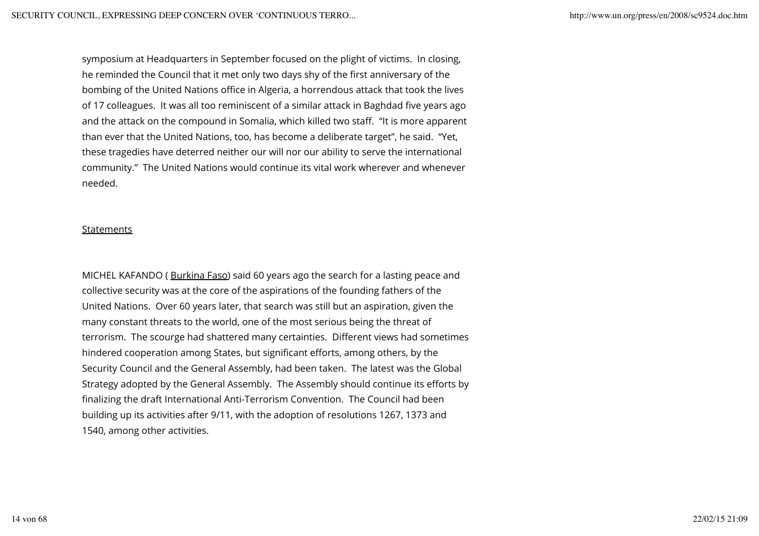symposium at Headquarters in September focused on the plight of victims. In closing, he reminded the Council that it met only two days shy of the first anniversary of the bombing of the United Nations office in Algeria, a horrendous attack that took the lives of 17 colleagues. It was all too reminiscent of a similar attack in Baghdad five years ago and the attack on the compound in Somalia, which killed two staff. "It is more apparent than ever that the United Nations, too, has become a deliberate target", he said. "Yet, these tragedies have deterred neither our will nor our ability to serve the international community." The United Nations would continue its vital work wherever and whenever needed.

#### Statements

MICHEL KAFANDO ( Burkina Faso) said 60 years ago the search for a lasting peace and collective security was at the core of the aspirations of the founding fathers of the United Nations. Over 60 years later, that search was still but an aspiration, given the many constant threats to the world, one of the most serious being the threat of terrorism. The scourge had shattered many certainties. Different views had sometimes hindered cooperation among States, but significant efforts, among others, by the Security Council and the General Assembly, had been taken. The latest was the Global Strategy adopted by the General Assembly. The Assembly should continue its efforts by finalizing the draft International Anti-Terrorism Convention. The Council had been building up its activities after 9/11, with the adoption of resolutions 1267, 1373 and 1540, among other activities.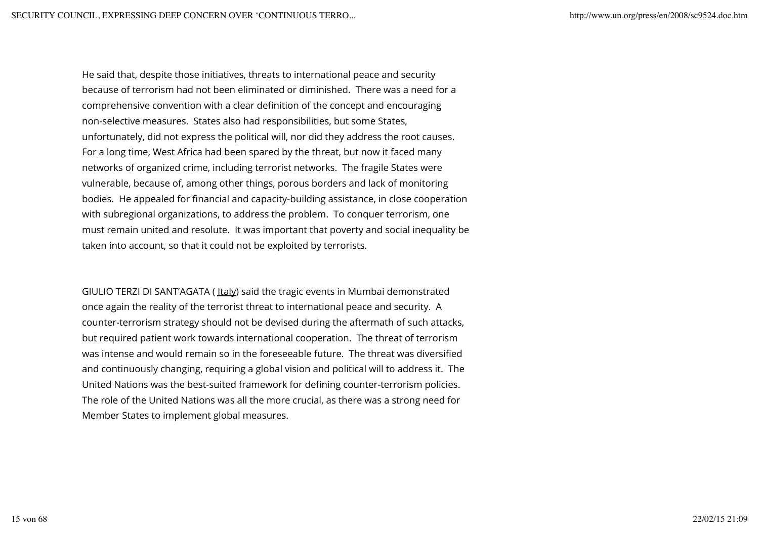He said that, despite those initiatives, threats to international peace and security because of terrorism had not been eliminated or diminished. There was a need for a comprehensive convention with a clear definition of the concept and encouraging non-selective measures. States also had responsibilities, but some States, unfortunately, did not express the political will, nor did they address the root causes. For a long time, West Africa had been spared by the threat, but now it faced many networks of organized crime, including terrorist networks. The fragile States were vulnerable, because of, among other things, porous borders and lack of monitoring bodies. He appealed for financial and capacity-building assistance, in close cooperation with subregional organizations, to address the problem. To conquer terrorism, one must remain united and resolute. It was important that poverty and social inequality be taken into account, so that it could not be exploited by terrorists.

GIULIO TERZI DI SANT'AGATA (Italy) said the tragic events in Mumbai demonstrated once again the reality of the terrorist threat to international peace and security. A counter-terrorism strategy should not be devised during the aftermath of such attacks, but required patient work towards international cooperation. The threat of terrorism was intense and would remain so in the foreseeable future. The threat was diversified and continuously changing, requiring a global vision and political will to address it. The United Nations was the best-suited framework for defining counter-terrorism policies. The role of the United Nations was all the more crucial, as there was a strong need for Member States to implement global measures.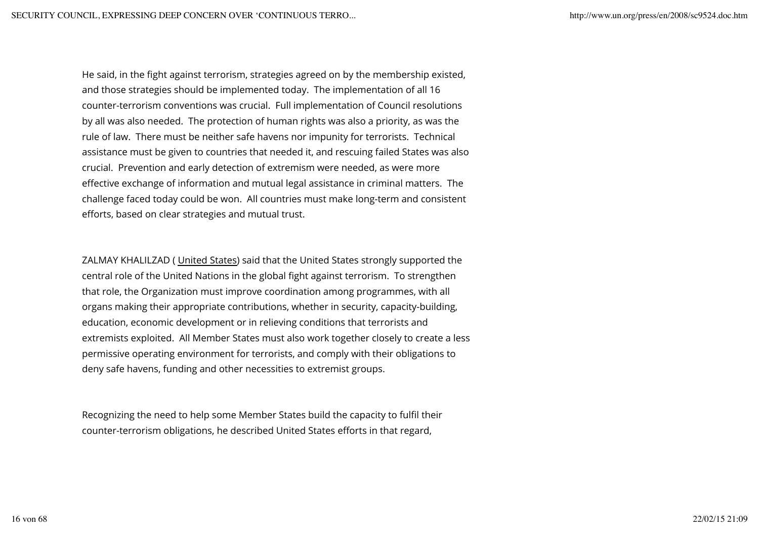He said, in the fight against terrorism, strategies agreed on by the membership existed, and those strategies should be implemented today. The implementation of all 16 counter-terrorism conventions was crucial. Full implementation of Council resolutions by all was also needed. The protection of human rights was also a priority, as was the rule of law. There must be neither safe havens nor impunity for terrorists. Technical assistance must be given to countries that needed it, and rescuing failed States was also crucial. Prevention and early detection of extremism were needed, as were more effective exchange of information and mutual legal assistance in criminal matters. The challenge faced today could be won. All countries must make long-term and consistent efforts, based on clear strategies and mutual trust.

ZALMAY KHALILZAD ( United States) said that the United States strongly supported the central role of the United Nations in the global fight against terrorism. To strengthen that role, the Organization must improve coordination among programmes, with all organs making their appropriate contributions, whether in security, capacity-building, education, economic development or in relieving conditions that terrorists and extremists exploited. All Member States must also work together closely to create a less permissive operating environment for terrorists, and comply with their obligations to deny safe havens, funding and other necessities to extremist groups.

Recognizing the need to help some Member States build the capacity to fulfil their counter-terrorism obligations, he described United States efforts in that regard,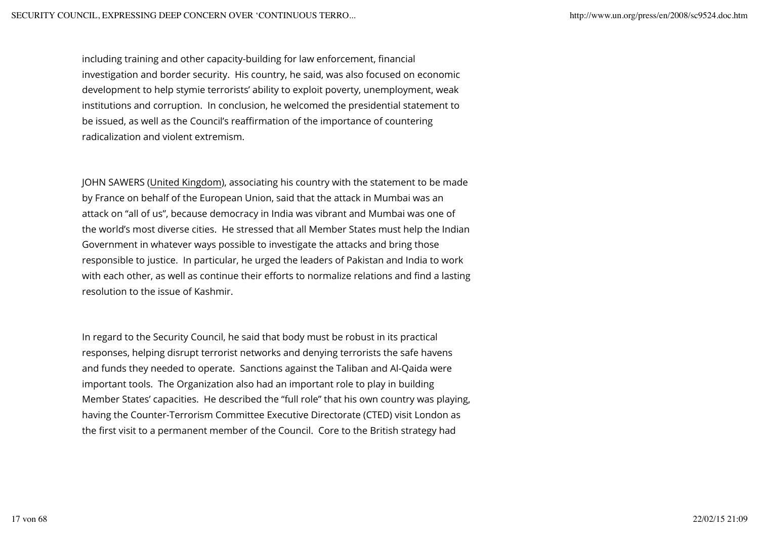including training and other capacity-building for law enforcement, financial investigation and border security. His country, he said, was also focused on economic development to help stymie terrorists' ability to exploit poverty, unemployment, weak institutions and corruption. In conclusion, he welcomed the presidential statement to be issued, as well as the Council's reaffirmation of the importance of countering radicalization and violent extremism.

JOHN SAWERS (United Kingdom), associating his country with the statement to be made by France on behalf of the European Union, said that the attack in Mumbai was an attack on "all of us", because democracy in India was vibrant and Mumbai was one of the world's most diverse cities. He stressed that all Member States must help the Indian Government in whatever ways possible to investigate the attacks and bring those responsible to justice. In particular, he urged the leaders of Pakistan and India to work with each other, as well as continue their efforts to normalize relations and find a lasting resolution to the issue of Kashmir.

In regard to the Security Council, he said that body must be robust in its practical responses, helping disrupt terrorist networks and denying terrorists the safe havens and funds they needed to operate. Sanctions against the Taliban and Al-Qaida were important tools. The Organization also had an important role to play in building Member States' capacities. He described the "full role" that his own country was playing, having the Counter-Terrorism Committee Executive Directorate (CTED) visit London as the first visit to a permanent member of the Council. Core to the British strategy had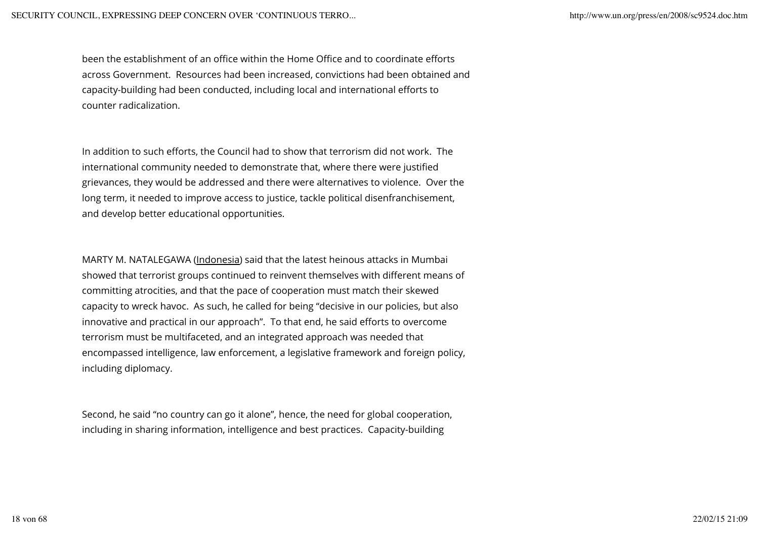been the establishment of an office within the Home Office and to coordinate efforts across Government. Resources had been increased, convictions had been obtained and capacity-building had been conducted, including local and international efforts to counter radicalization.

In addition to such efforts, the Council had to show that terrorism did not work. The international community needed to demonstrate that, where there were justified grievances, they would be addressed and there were alternatives to violence. Over the long term, it needed to improve access to justice, tackle political disenfranchisement, and develop better educational opportunities.

MARTY M. NATALEGAWA (Indonesia) said that the latest heinous attacks in Mumbai showed that terrorist groups continued to reinvent themselves with different means of committing atrocities, and that the pace of cooperation must match their skewed capacity to wreck havoc. As such, he called for being "decisive in our policies, but also innovative and practical in our approach". To that end, he said efforts to overcome terrorism must be multifaceted, and an integrated approach was needed that encompassed intelligence, law enforcement, a legislative framework and foreign policy, including diplomacy.

Second, he said "no country can go it alone", hence, the need for global cooperation, including in sharing information, intelligence and best practices. Capacity-building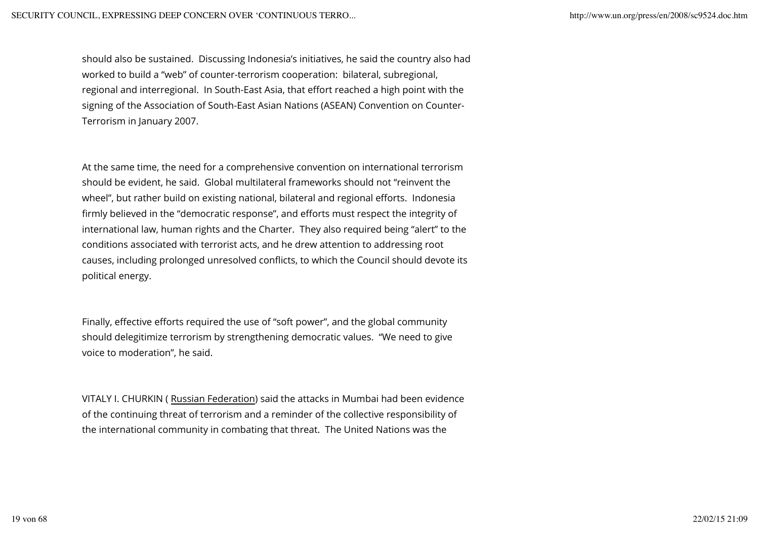should also be sustained. Discussing Indonesia's initiatives, he said the country also had worked to build a "web" of counter-terrorism cooperation: bilateral, subregional, regional and interregional. In South-East Asia, that effort reached a high point with the signing of the Association of South-East Asian Nations (ASEAN) Convention on Counter-Terrorism in January 2007.

At the same time, the need for a comprehensive convention on international terrorism should be evident, he said. Global multilateral frameworks should not "reinvent the wheel", but rather build on existing national, bilateral and regional efforts. Indonesia firmly believed in the "democratic response", and efforts must respect the integrity of international law, human rights and the Charter. They also required being "alert" to the conditions associated with terrorist acts, and he drew attention to addressing root causes, including prolonged unresolved conflicts, to which the Council should devote its political energy.

Finally, effective efforts required the use of "soft power", and the global community should delegitimize terrorism by strengthening democratic values. "We need to give voice to moderation", he said.

VITALY I. CHURKIN ( Russian Federation) said the attacks in Mumbai had been evidence of the continuing threat of terrorism and a reminder of the collective responsibility of the international community in combating that threat. The United Nations was the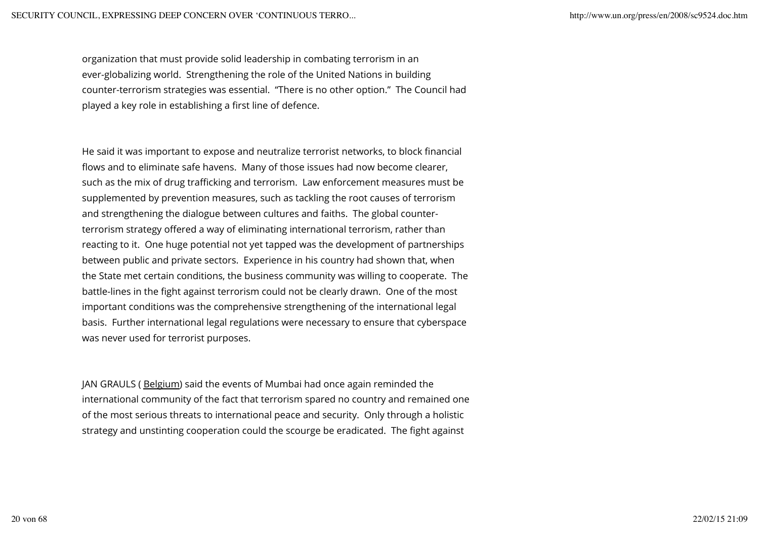organization that must provide solid leadership in combating terrorism in an ever-globalizing world. Strengthening the role of the United Nations in building counter-terrorism strategies was essential. "There is no other option." The Council had played a key role in establishing a first line of defence.

He said it was important to expose and neutralize terrorist networks, to block financial flows and to eliminate safe havens. Many of those issues had now become clearer, such as the mix of drug trafficking and terrorism. Law enforcement measures must be supplemented by prevention measures, such as tackling the root causes of terrorism and strengthening the dialogue between cultures and faiths. The global counterterrorism strategy offered a way of eliminating international terrorism, rather than reacting to it. One huge potential not yet tapped was the development of partnerships between public and private sectors. Experience in his country had shown that, when the State met certain conditions, the business community was willing to cooperate. The battle-lines in the fight against terrorism could not be clearly drawn. One of the most important conditions was the comprehensive strengthening of the international legal basis. Further international legal regulations were necessary to ensure that cyberspace was never used for terrorist purposes.

JAN GRAULS (Belgium) said the events of Mumbai had once again reminded the international community of the fact that terrorism spared no country and remained one of the most serious threats to international peace and security. Only through a holistic strategy and unstinting cooperation could the scourge be eradicated. The fight against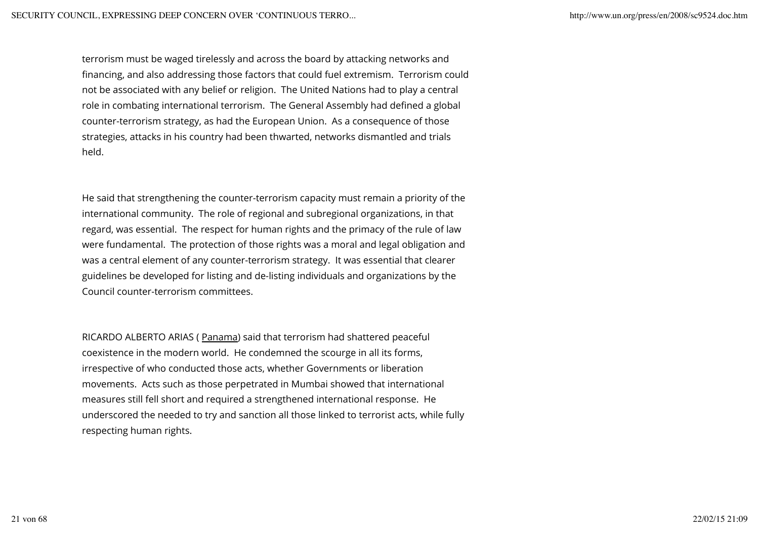terrorism must be waged tirelessly and across the board by attacking networks and financing, and also addressing those factors that could fuel extremism. Terrorism could not be associated with any belief or religion. The United Nations had to play a central role in combating international terrorism. The General Assembly had defined a global counter-terrorism strategy, as had the European Union. As a consequence of those strategies, attacks in his country had been thwarted, networks dismantled and trials held.

He said that strengthening the counter-terrorism capacity must remain a priority of the international community. The role of regional and subregional organizations, in that regard, was essential. The respect for human rights and the primacy of the rule of law were fundamental. The protection of those rights was a moral and legal obligation and was a central element of any counter-terrorism strategy. It was essential that clearer guidelines be developed for listing and de-listing individuals and organizations by the Council counter-terrorism committees.

RICARDO ALBERTO ARIAS ( Panama) said that terrorism had shattered peaceful coexistence in the modern world. He condemned the scourge in all its forms, irrespective of who conducted those acts, whether Governments or liberation movements. Acts such as those perpetrated in Mumbai showed that international measures still fell short and required a strengthened international response. He underscored the needed to try and sanction all those linked to terrorist acts, while fully respecting human rights.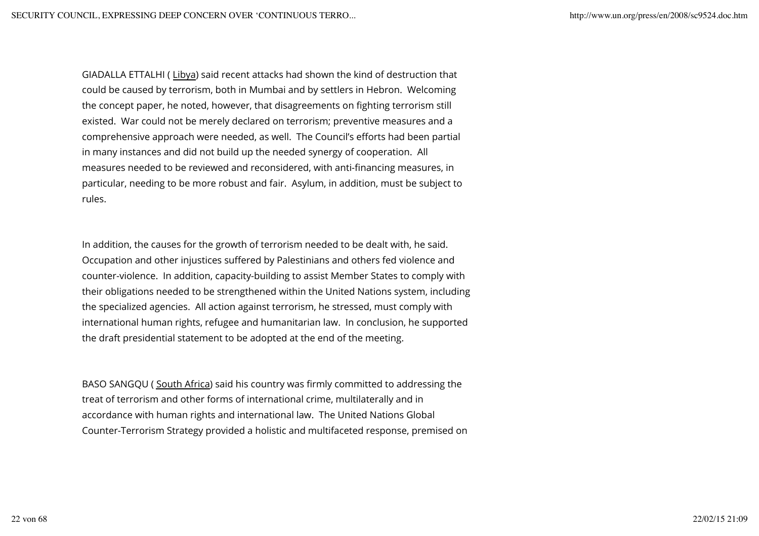GIADALLA ETTALHI ( Libya) said recent attacks had shown the kind of destruction that could be caused by terrorism, both in Mumbai and by settlers in Hebron. Welcoming the concept paper, he noted, however, that disagreements on fighting terrorism still existed. War could not be merely declared on terrorism; preventive measures and a comprehensive approach were needed, as well. The Council's efforts had been partial in many instances and did not build up the needed synergy of cooperation. All measures needed to be reviewed and reconsidered, with anti-financing measures, in particular, needing to be more robust and fair. Asylum, in addition, must be subject to rules.

In addition, the causes for the growth of terrorism needed to be dealt with, he said. Occupation and other injustices suffered by Palestinians and others fed violence and counter-violence. In addition, capacity-building to assist Member States to comply with their obligations needed to be strengthened within the United Nations system, including the specialized agencies. All action against terrorism, he stressed, must comply with international human rights, refugee and humanitarian law. In conclusion, he supported the draft presidential statement to be adopted at the end of the meeting.

BASO SANGQU ( South Africa) said his country was firmly committed to addressing the treat of terrorism and other forms of international crime, multilaterally and in accordance with human rights and international law. The United Nations Global Counter-Terrorism Strategy provided a holistic and multifaceted response, premised on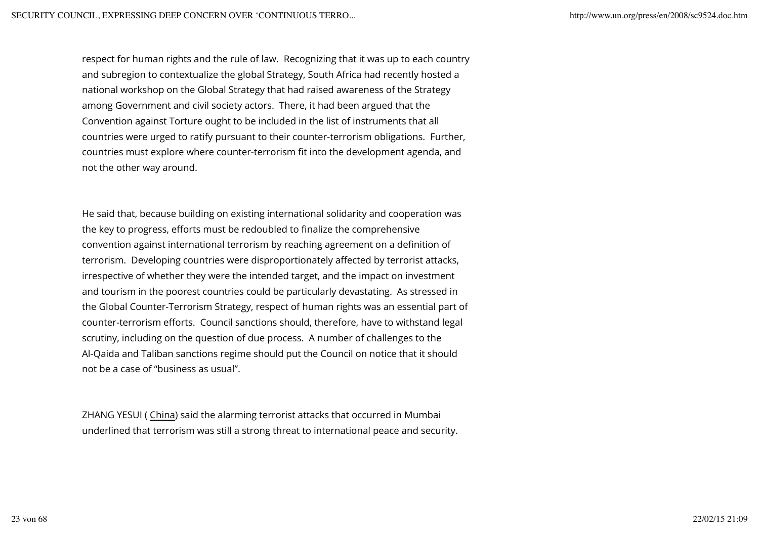respect for human rights and the rule of law. Recognizing that it was up to each country and subregion to contextualize the global Strategy, South Africa had recently hosted a national workshop on the Global Strategy that had raised awareness of the Strategy among Government and civil society actors. There, it had been argued that the Convention against Torture ought to be included in the list of instruments that all countries were urged to ratify pursuant to their counter-terrorism obligations. Further, countries must explore where counter-terrorism fit into the development agenda, and not the other way around.

He said that, because building on existing international solidarity and cooperation was the key to progress, efforts must be redoubled to finalize the comprehensive convention against international terrorism by reaching agreement on a definition of terrorism. Developing countries were disproportionately affected by terrorist attacks, irrespective of whether they were the intended target, and the impact on investment and tourism in the poorest countries could be particularly devastating. As stressed in the Global Counter-Terrorism Strategy, respect of human rights was an essential part of counter-terrorism efforts. Council sanctions should, therefore, have to withstand legal scrutiny, including on the question of due process. A number of challenges to the Al-Qaida and Taliban sanctions regime should put the Council on notice that it should not be a case of "business as usual".

ZHANG YESUI ( China) said the alarming terrorist attacks that occurred in Mumbai underlined that terrorism was still a strong threat to international peace and security.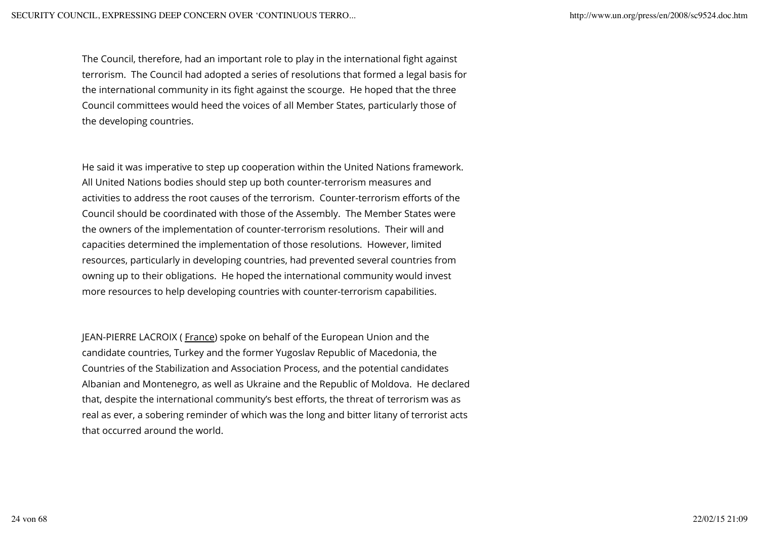The Council, therefore, had an important role to play in the international fight against terrorism. The Council had adopted a series of resolutions that formed a legal basis for the international community in its fight against the scourge. He hoped that the three Council committees would heed the voices of all Member States, particularly those of the developing countries.

He said it was imperative to step up cooperation within the United Nations framework. All United Nations bodies should step up both counter-terrorism measures and activities to address the root causes of the terrorism. Counter-terrorism efforts of the Council should be coordinated with those of the Assembly. The Member States were the owners of the implementation of counter-terrorism resolutions. Their will and capacities determined the implementation of those resolutions. However, limited resources, particularly in developing countries, had prevented several countries from owning up to their obligations. He hoped the international community would invest more resources to help developing countries with counter-terrorism capabilities.

JEAN-PIERRE LACROIX (France) spoke on behalf of the European Union and the candidate countries, Turkey and the former Yugoslav Republic of Macedonia, the Countries of the Stabilization and Association Process, and the potential candidates Albanian and Montenegro, as well as Ukraine and the Republic of Moldova. He declared that, despite the international community's best efforts, the threat of terrorism was as real as ever, a sobering reminder of which was the long and bitter litany of terrorist acts that occurred around the world.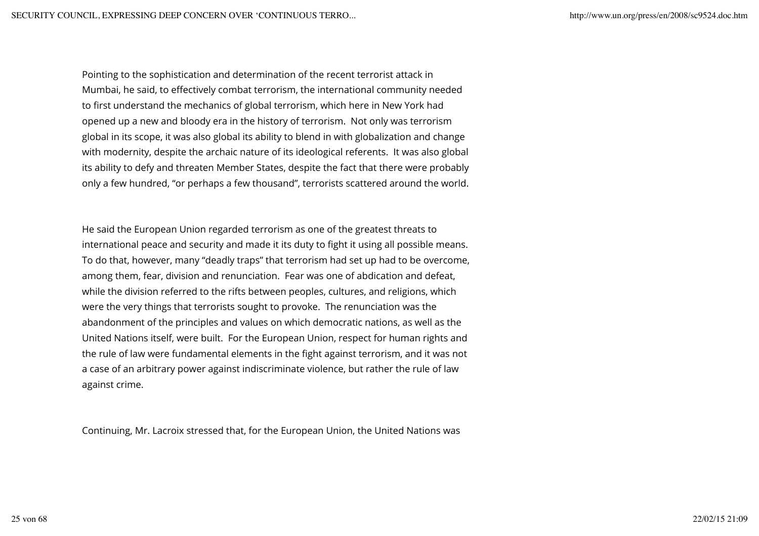Pointing to the sophistication and determination of the recent terrorist attack in Mumbai, he said, to effectively combat terrorism, the international community needed to first understand the mechanics of global terrorism, which here in New York had opened up a new and bloody era in the history of terrorism. Not only was terrorism global in its scope, it was also global its ability to blend in with globalization and change with modernity, despite the archaic nature of its ideological referents. It was also global its ability to defy and threaten Member States, despite the fact that there were probably only a few hundred, "or perhaps a few thousand", terrorists scattered around the world.

He said the European Union regarded terrorism as one of the greatest threats to international peace and security and made it its duty to fight it using all possible means. To do that, however, many "deadly traps" that terrorism had set up had to be overcome, among them, fear, division and renunciation. Fear was one of abdication and defeat, while the division referred to the rifts between peoples, cultures, and religions, which were the very things that terrorists sought to provoke. The renunciation was the abandonment of the principles and values on which democratic nations, as well as the United Nations itself, were built. For the European Union, respect for human rights and the rule of law were fundamental elements in the fight against terrorism, and it was not a case of an arbitrary power against indiscriminate violence, but rather the rule of law against crime.

Continuing, Mr. Lacroix stressed that, for the European Union, the United Nations was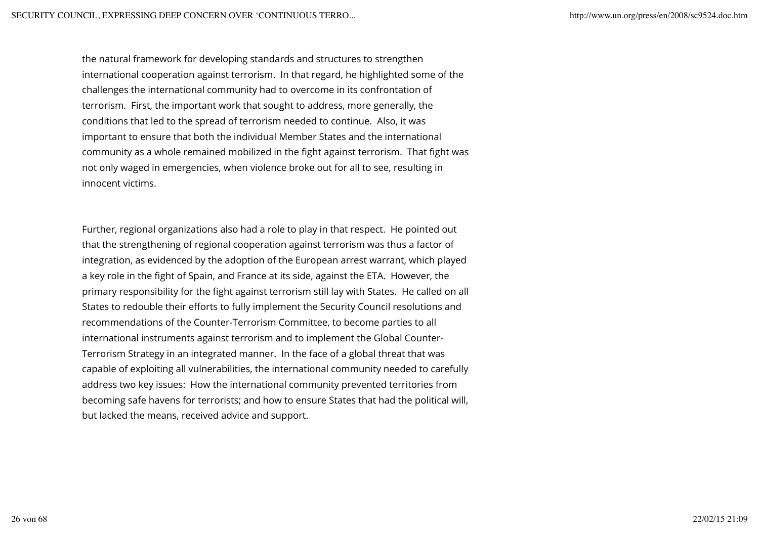the natural framework for developing standards and structures to strengthen international cooperation against terrorism. In that regard, he highlighted some of the challenges the international community had to overcome in its confrontation of terrorism. First, the important work that sought to address, more generally, the conditions that led to the spread of terrorism needed to continue. Also, it was important to ensure that both the individual Member States and the international community as a whole remained mobilized in the fight against terrorism. That fight was not only waged in emergencies, when violence broke out for all to see, resulting in innocent victims.

Further, regional organizations also had a role to play in that respect. He pointed out that the strengthening of regional cooperation against terrorism was thus a factor of integration, as evidenced by the adoption of the European arrest warrant, which played a key role in the fight of Spain, and France at its side, against the ETA. However, the primary responsibility for the fight against terrorism still lay with States. He called on all States to redouble their efforts to fully implement the Security Council resolutions and recommendations of the Counter-Terrorism Committee, to become parties to all international instruments against terrorism and to implement the Global Counter-Terrorism Strategy in an integrated manner. In the face of a global threat that was capable of exploiting all vulnerabilities, the international community needed to carefully address two key issues: How the international community prevented territories from becoming safe havens for terrorists; and how to ensure States that had the political will, but lacked the means, received advice and support.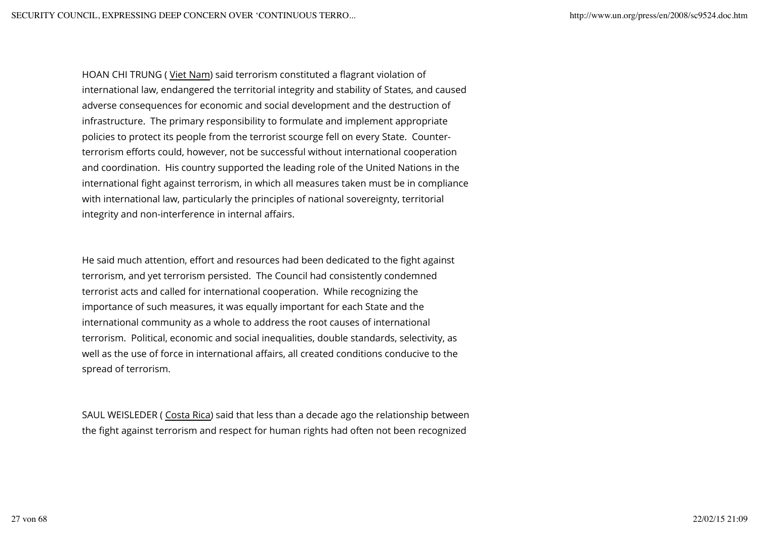HOAN CHI TRUNG ( Viet Nam) said terrorism constituted a flagrant violation of international law, endangered the territorial integrity and stability of States, and caused adverse consequences for economic and social development and the destruction of infrastructure. The primary responsibility to formulate and implement appropriate policies to protect its people from the terrorist scourge fell on every State. Counterterrorism efforts could, however, not be successful without international cooperation and coordination. His country supported the leading role of the United Nations in the international fight against terrorism, in which all measures taken must be in compliance with international law, particularly the principles of national sovereignty, territorial integrity and non-interference in internal affairs.

He said much attention, effort and resources had been dedicated to the fight against terrorism, and yet terrorism persisted. The Council had consistently condemned terrorist acts and called for international cooperation. While recognizing the importance of such measures, it was equally important for each State and the international community as a whole to address the root causes of international terrorism. Political, economic and social inequalities, double standards, selectivity, as well as the use of force in international affairs, all created conditions conducive to the spread of terrorism.

SAUL WEISLEDER ( Costa Rica) said that less than a decade ago the relationship between the fight against terrorism and respect for human rights had often not been recognized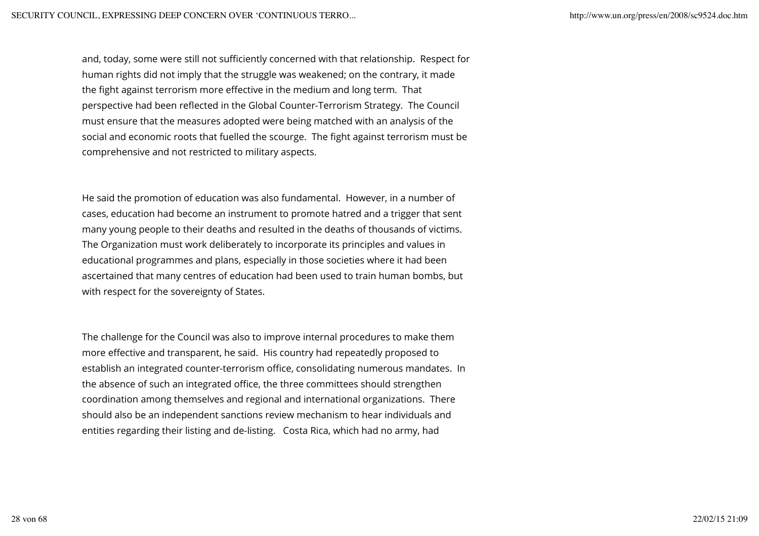and, today, some were still not sufficiently concerned with that relationship. Respect for human rights did not imply that the struggle was weakened; on the contrary, it made the fight against terrorism more effective in the medium and long term. That perspective had been reflected in the Global Counter-Terrorism Strategy. The Council must ensure that the measures adopted were being matched with an analysis of the social and economic roots that fuelled the scourge. The fight against terrorism must be comprehensive and not restricted to military aspects.

He said the promotion of education was also fundamental. However, in a number of cases, education had become an instrument to promote hatred and a trigger that sent many young people to their deaths and resulted in the deaths of thousands of victims. The Organization must work deliberately to incorporate its principles and values in educational programmes and plans, especially in those societies where it had been ascertained that many centres of education had been used to train human bombs, but with respect for the sovereignty of States.

The challenge for the Council was also to improve internal procedures to make them more effective and transparent, he said. His country had repeatedly proposed to establish an integrated counter-terrorism office, consolidating numerous mandates. In the absence of such an integrated office, the three committees should strengthen coordination among themselves and regional and international organizations. There should also be an independent sanctions review mechanism to hear individuals and entities regarding their listing and de-listing. Costa Rica, which had no army, had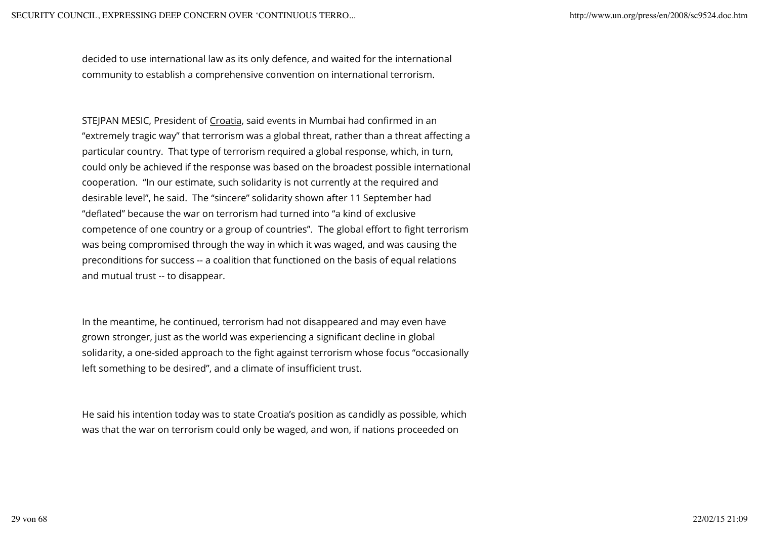decided to use international law as its only defence, and waited for the international community to establish a comprehensive convention on international terrorism.

STEJPAN MESIC, President of Croatia, said events in Mumbai had confirmed in an "extremely tragic way" that terrorism was a global threat, rather than a threat affecting a particular country. That type of terrorism required a global response, which, in turn, could only be achieved if the response was based on the broadest possible international cooperation. "In our estimate, such solidarity is not currently at the required and desirable level", he said. The "sincere" solidarity shown after 11 September had "deflated" because the war on terrorism had turned into "a kind of exclusive competence of one country or a group of countries". The global effort to fight terrorism was being compromised through the way in which it was waged, and was causing the preconditions for success -- a coalition that functioned on the basis of equal relations and mutual trust -- to disappear.

In the meantime, he continued, terrorism had not disappeared and may even have grown stronger, just as the world was experiencing a significant decline in global solidarity, a one-sided approach to the fight against terrorism whose focus "occasionally left something to be desired", and a climate of insufficient trust.

He said his intention today was to state Croatia's position as candidly as possible, which was that the war on terrorism could only be waged, and won, if nations proceeded on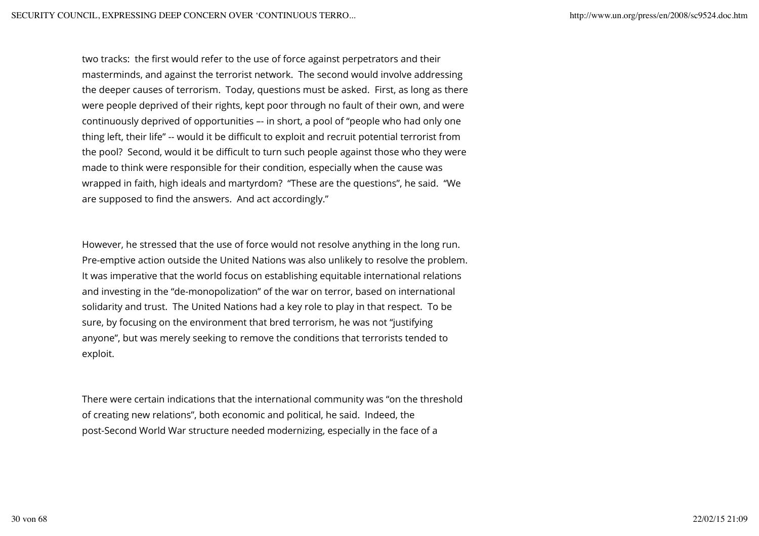two tracks: the first would refer to the use of force against perpetrators and their masterminds, and against the terrorist network. The second would involve addressing the deeper causes of terrorism. Today, questions must be asked. First, as long as there were people deprived of their rights, kept poor through no fault of their own, and were continuously deprived of opportunities –- in short, a pool of "people who had only one thing left, their life" -- would it be difficult to exploit and recruit potential terrorist from the pool? Second, would it be difficult to turn such people against those who they were made to think were responsible for their condition, especially when the cause was wrapped in faith, high ideals and martyrdom? "These are the questions", he said. "We are supposed to find the answers. And act accordingly."

However, he stressed that the use of force would not resolve anything in the long run. Pre-emptive action outside the United Nations was also unlikely to resolve the problem. It was imperative that the world focus on establishing equitable international relations and investing in the "de-monopolization" of the war on terror, based on international solidarity and trust. The United Nations had a key role to play in that respect. To be sure, by focusing on the environment that bred terrorism, he was not "justifying anyone", but was merely seeking to remove the conditions that terrorists tended to exploit.

There were certain indications that the international community was "on the threshold of creating new relations", both economic and political, he said. Indeed, the post-Second World War structure needed modernizing, especially in the face of a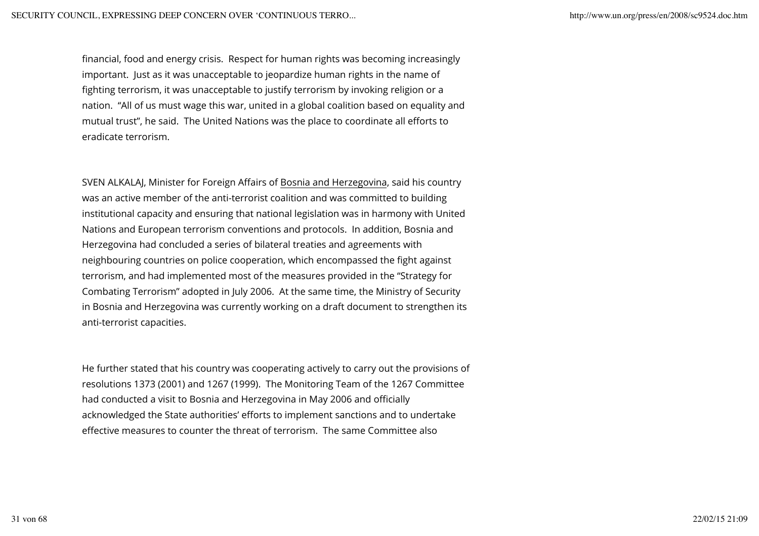financial, food and energy crisis. Respect for human rights was becoming increasingly important. Just as it was unacceptable to jeopardize human rights in the name of fighting terrorism, it was unacceptable to justify terrorism by invoking religion or a nation. "All of us must wage this war, united in a global coalition based on equality and mutual trust", he said. The United Nations was the place to coordinate all efforts to eradicate terrorism.

SVEN ALKALAJ, Minister for Foreign Affairs of Bosnia and Herzegovina, said his country was an active member of the anti-terrorist coalition and was committed to building institutional capacity and ensuring that national legislation was in harmony with United Nations and European terrorism conventions and protocols. In addition, Bosnia and Herzegovina had concluded a series of bilateral treaties and agreements with neighbouring countries on police cooperation, which encompassed the fight against terrorism, and had implemented most of the measures provided in the "Strategy for Combating Terrorism" adopted in July 2006. At the same time, the Ministry of Security in Bosnia and Herzegovina was currently working on a draft document to strengthen its anti-terrorist capacities.

He further stated that his country was cooperating actively to carry out the provisions of resolutions 1373 (2001) and 1267 (1999). The Monitoring Team of the 1267 Committee had conducted a visit to Bosnia and Herzegovina in May 2006 and officially acknowledged the State authorities' efforts to implement sanctions and to undertake effective measures to counter the threat of terrorism. The same Committee also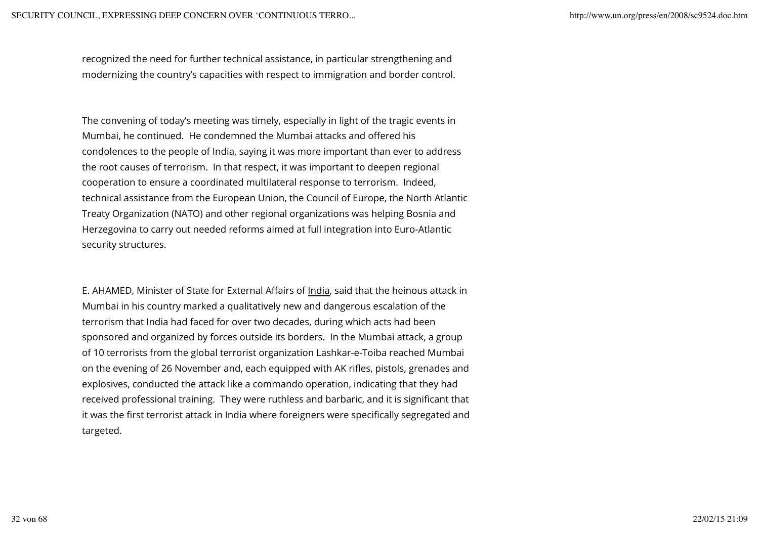recognized the need for further technical assistance, in particular strengthening and modernizing the country's capacities with respect to immigration and border control.

The convening of today's meeting was timely, especially in light of the tragic events in Mumbai, he continued. He condemned the Mumbai attacks and offered his condolences to the people of India, saying it was more important than ever to address the root causes of terrorism. In that respect, it was important to deepen regional cooperation to ensure a coordinated multilateral response to terrorism. Indeed, technical assistance from the European Union, the Council of Europe, the North Atlantic Treaty Organization (NATO) and other regional organizations was helping Bosnia and Herzegovina to carry out needed reforms aimed at full integration into Euro-Atlantic security structures.

E. AHAMED, Minister of State for External Affairs of India, said that the heinous attack in Mumbai in his country marked a qualitatively new and dangerous escalation of the terrorism that India had faced for over two decades, during which acts had been sponsored and organized by forces outside its borders. In the Mumbai attack, a group of 10 terrorists from the global terrorist organization Lashkar-e-Toiba reached Mumbai on the evening of 26 November and, each equipped with AK rifles, pistols, grenades and explosives, conducted the attack like a commando operation, indicating that they had received professional training. They were ruthless and barbaric, and it is significant that it was the first terrorist attack in India where foreigners were specifically segregated and targeted.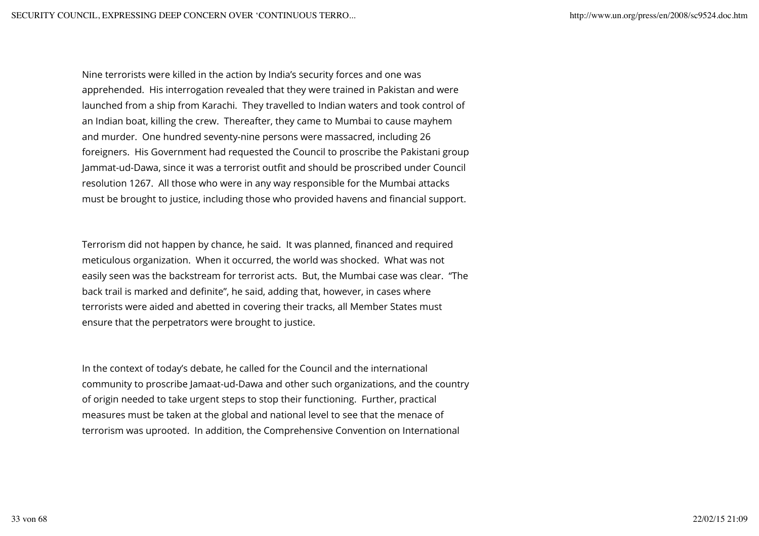Nine terrorists were killed in the action by India's security forces and one was apprehended. His interrogation revealed that they were trained in Pakistan and were launched from a ship from Karachi. They travelled to Indian waters and took control of an Indian boat, killing the crew. Thereafter, they came to Mumbai to cause mayhem and murder. One hundred seventy-nine persons were massacred, including 26 foreigners. His Government had requested the Council to proscribe the Pakistani group Jammat-ud-Dawa, since it was a terrorist outfit and should be proscribed under Council resolution 1267. All those who were in any way responsible for the Mumbai attacks must be brought to justice, including those who provided havens and financial support.

Terrorism did not happen by chance, he said. It was planned, financed and required meticulous organization. When it occurred, the world was shocked. What was not easily seen was the backstream for terrorist acts. But, the Mumbai case was clear. "The back trail is marked and definite", he said, adding that, however, in cases where terrorists were aided and abetted in covering their tracks, all Member States must ensure that the perpetrators were brought to justice.

In the context of today's debate, he called for the Council and the international community to proscribe Jamaat-ud-Dawa and other such organizations, and the country of origin needed to take urgent steps to stop their functioning. Further, practical measures must be taken at the global and national level to see that the menace of terrorism was uprooted. In addition, the Comprehensive Convention on International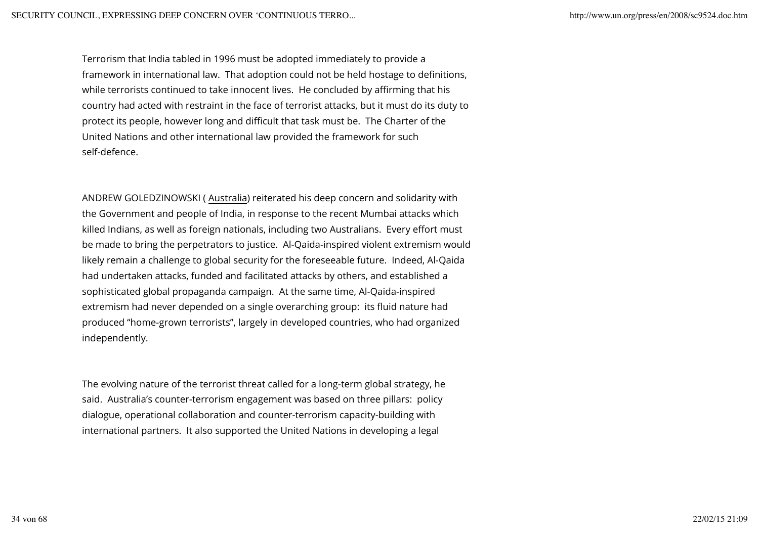Terrorism that India tabled in 1996 must be adopted immediately to provide a framework in international law. That adoption could not be held hostage to definitions, while terrorists continued to take innocent lives. He concluded by affirming that his country had acted with restraint in the face of terrorist attacks, but it must do its duty to protect its people, however long and difficult that task must be. The Charter of the United Nations and other international law provided the framework for such self-defence.

ANDREW GOLEDZINOWSKI ( Australia) reiterated his deep concern and solidarity with the Government and people of India, in response to the recent Mumbai attacks which killed Indians, as well as foreign nationals, including two Australians. Every effort must be made to bring the perpetrators to justice. Al-Qaida-inspired violent extremism would likely remain a challenge to global security for the foreseeable future. Indeed, Al-Qaida had undertaken attacks, funded and facilitated attacks by others, and established a sophisticated global propaganda campaign. At the same time, Al-Qaida-inspired extremism had never depended on a single overarching group: its fluid nature had produced "home-grown terrorists", largely in developed countries, who had organized independently.

The evolving nature of the terrorist threat called for a long-term global strategy, he said. Australia's counter-terrorism engagement was based on three pillars: policy dialogue, operational collaboration and counter-terrorism capacity-building with international partners. It also supported the United Nations in developing a legal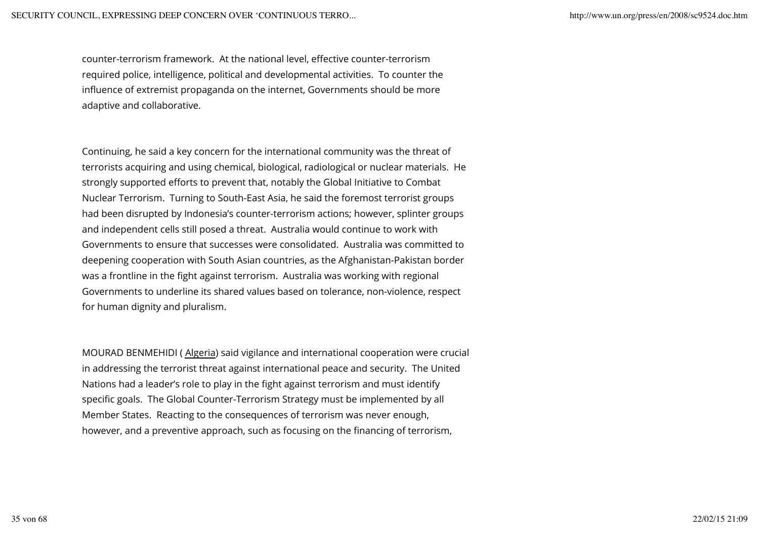counter-terrorism framework. At the national level, effective counter-terrorism required police, intelligence, political and developmental activities. To counter the influence of extremist propaganda on the internet, Governments should be more adaptive and collaborative.

Continuing, he said a key concern for the international community was the threat of terrorists acquiring and using chemical, biological, radiological or nuclear materials. He strongly supported efforts to prevent that, notably the Global Initiative to Combat Nuclear Terrorism. Turning to South-East Asia, he said the foremost terrorist groups had been disrupted by Indonesia's counter-terrorism actions; however, splinter groups and independent cells still posed a threat. Australia would continue to work with Governments to ensure that successes were consolidated. Australia was committed to deepening cooperation with South Asian countries, as the Afghanistan-Pakistan border was a frontline in the fight against terrorism. Australia was working with regional Governments to underline its shared values based on tolerance, non-violence, respect for human dignity and pluralism.

MOURAD BENMEHIDI ( Algeria) said vigilance and international cooperation were crucial in addressing the terrorist threat against international peace and security. The United Nations had a leader's role to play in the fight against terrorism and must identify specific goals. The Global Counter-Terrorism Strategy must be implemented by all Member States. Reacting to the consequences of terrorism was never enough, however, and a preventive approach, such as focusing on the financing of terrorism,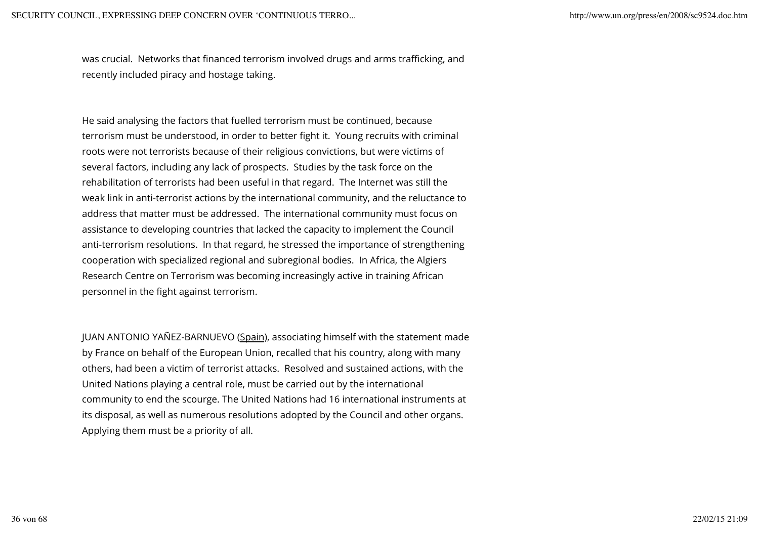was crucial. Networks that financed terrorism involved drugs and arms trafficking, and recently included piracy and hostage taking.

He said analysing the factors that fuelled terrorism must be continued, because terrorism must be understood, in order to better fight it. Young recruits with criminal roots were not terrorists because of their religious convictions, but were victims of several factors, including any lack of prospects. Studies by the task force on the rehabilitation of terrorists had been useful in that regard. The Internet was still the weak link in anti-terrorist actions by the international community, and the reluctance to address that matter must be addressed. The international community must focus on assistance to developing countries that lacked the capacity to implement the Council anti-terrorism resolutions. In that regard, he stressed the importance of strengthening cooperation with specialized regional and subregional bodies. In Africa, the Algiers Research Centre on Terrorism was becoming increasingly active in training African personnel in the fight against terrorism.

JUAN ANTONIO YAÑEZ-BARNUEVO (Spain), associating himself with the statement made by France on behalf of the European Union, recalled that his country, along with many others, had been a victim of terrorist attacks. Resolved and sustained actions, with the United Nations playing a central role, must be carried out by the international community to end the scourge. The United Nations had 16 international instruments at its disposal, as well as numerous resolutions adopted by the Council and other organs. Applying them must be a priority of all.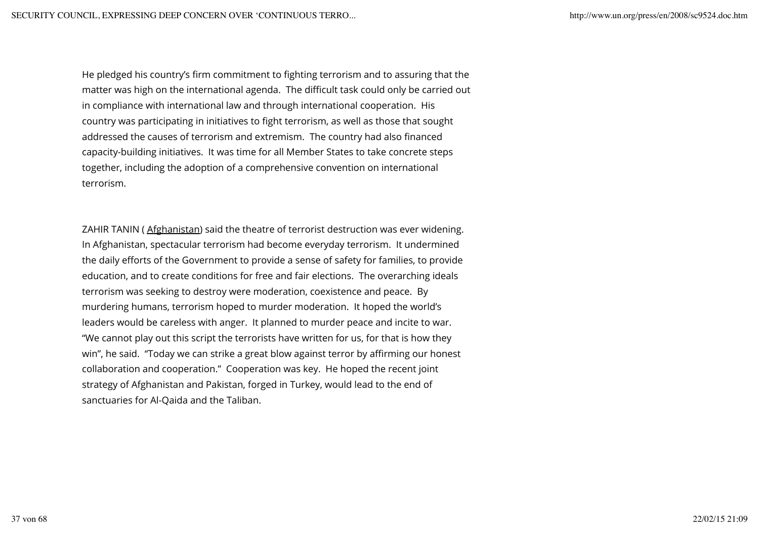He pledged his country's firm commitment to fighting terrorism and to assuring that the matter was high on the international agenda. The difficult task could only be carried out in compliance with international law and through international cooperation. His country was participating in initiatives to fight terrorism, as well as those that sought addressed the causes of terrorism and extremism. The country had also financed capacity-building initiatives. It was time for all Member States to take concrete steps together, including the adoption of a comprehensive convention on international terrorism.

ZAHIR TANIN ( Afghanistan) said the theatre of terrorist destruction was ever widening. In Afghanistan, spectacular terrorism had become everyday terrorism. It undermined the daily efforts of the Government to provide a sense of safety for families, to provide education, and to create conditions for free and fair elections. The overarching ideals terrorism was seeking to destroy were moderation, coexistence and peace. By murdering humans, terrorism hoped to murder moderation. It hoped the world's leaders would be careless with anger. It planned to murder peace and incite to war. "We cannot play out this script the terrorists have written for us, for that is how they win", he said. "Today we can strike a great blow against terror by affirming our honest collaboration and cooperation." Cooperation was key. He hoped the recent joint strategy of Afghanistan and Pakistan, forged in Turkey, would lead to the end of sanctuaries for Al-Qaida and the Taliban.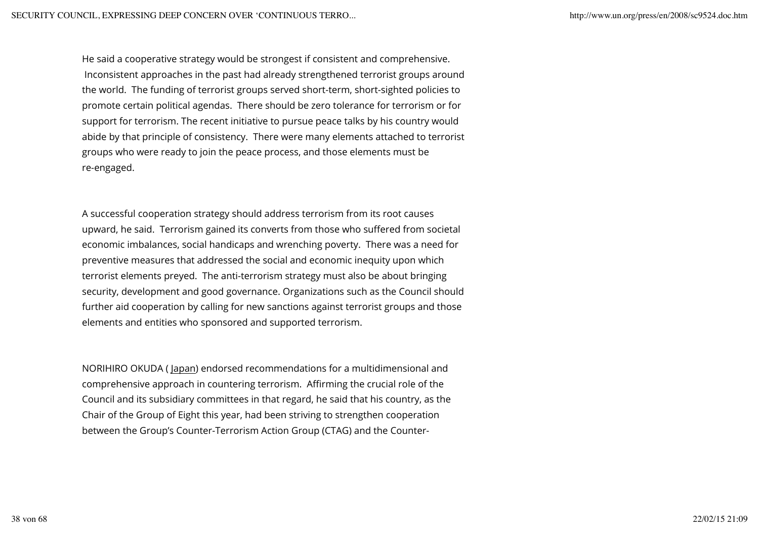He said a cooperative strategy would be strongest if consistent and comprehensive. Inconsistent approaches in the past had already strengthened terrorist groups around the world. The funding of terrorist groups served short-term, short-sighted policies to promote certain political agendas. There should be zero tolerance for terrorism or for support for terrorism. The recent initiative to pursue peace talks by his country would abide by that principle of consistency. There were many elements attached to terrorist groups who were ready to join the peace process, and those elements must be re-engaged.

A successful cooperation strategy should address terrorism from its root causes upward, he said. Terrorism gained its converts from those who suffered from societal economic imbalances, social handicaps and wrenching poverty. There was a need for preventive measures that addressed the social and economic inequity upon which terrorist elements preyed. The anti-terrorism strategy must also be about bringing security, development and good governance. Organizations such as the Council should further aid cooperation by calling for new sanctions against terrorist groups and those elements and entities who sponsored and supported terrorism.

NORIHIRO OKUDA ( Japan) endorsed recommendations for a multidimensional and comprehensive approach in countering terrorism. Affirming the crucial role of the Council and its subsidiary committees in that regard, he said that his country, as the Chair of the Group of Eight this year, had been striving to strengthen cooperation between the Group's Counter-Terrorism Action Group (CTAG) and the Counter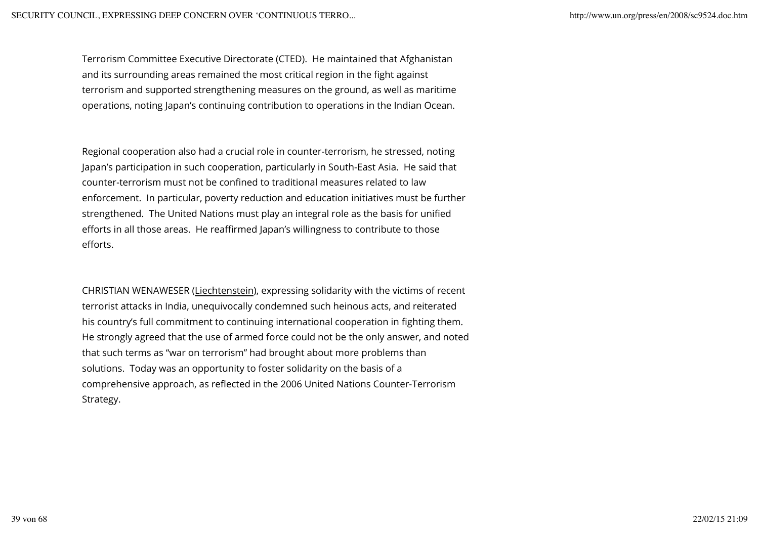Terrorism Committee Executive Directorate (CTED). He maintained that Afghanistan and its surrounding areas remained the most critical region in the fight against terrorism and supported strengthening measures on the ground, as well as maritime operations, noting Japan's continuing contribution to operations in the Indian Ocean.

Regional cooperation also had a crucial role in counter-terrorism, he stressed, noting Japan's participation in such cooperation, particularly in South-East Asia. He said that counter-terrorism must not be confined to traditional measures related to law enforcement. In particular, poverty reduction and education initiatives must be further strengthened. The United Nations must play an integral role as the basis for unified efforts in all those areas. He reaffirmed Japan's willingness to contribute to those efforts.

CHRISTIAN WENAWESER (Liechtenstein), expressing solidarity with the victims of recent terrorist attacks in India, unequivocally condemned such heinous acts, and reiterated his country's full commitment to continuing international cooperation in fighting them. He strongly agreed that the use of armed force could not be the only answer, and noted that such terms as "war on terrorism" had brought about more problems than solutions. Today was an opportunity to foster solidarity on the basis of a comprehensive approach, as reflected in the 2006 United Nations Counter-Terrorism Strategy.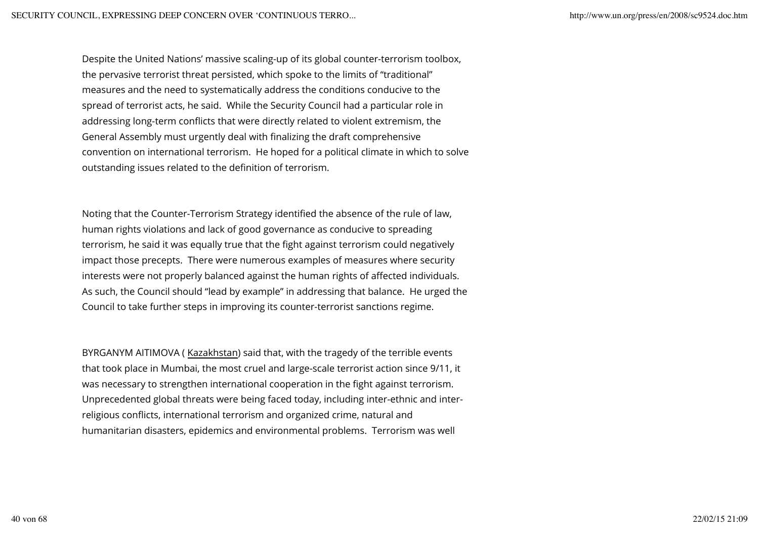Despite the United Nations' massive scaling-up of its global counter-terrorism toolbox, the pervasive terrorist threat persisted, which spoke to the limits of "traditional" measures and the need to systematically address the conditions conducive to the spread of terrorist acts, he said. While the Security Council had a particular role in addressing long-term conflicts that were directly related to violent extremism, the General Assembly must urgently deal with finalizing the draft comprehensive convention on international terrorism. He hoped for a political climate in which to solve outstanding issues related to the definition of terrorism.

Noting that the Counter-Terrorism Strategy identified the absence of the rule of law, human rights violations and lack of good governance as conducive to spreading terrorism, he said it was equally true that the fight against terrorism could negatively impact those precepts. There were numerous examples of measures where security interests were not properly balanced against the human rights of affected individuals. As such, the Council should "lead by example" in addressing that balance. He urged the Council to take further steps in improving its counter-terrorist sanctions regime.

BYRGANYM AITIMOVA ( Kazakhstan) said that, with the tragedy of the terrible events that took place in Mumbai, the most cruel and large-scale terrorist action since 9/11, it was necessary to strengthen international cooperation in the fight against terrorism. Unprecedented global threats were being faced today, including inter-ethnic and interreligious conflicts, international terrorism and organized crime, natural and humanitarian disasters, epidemics and environmental problems. Terrorism was well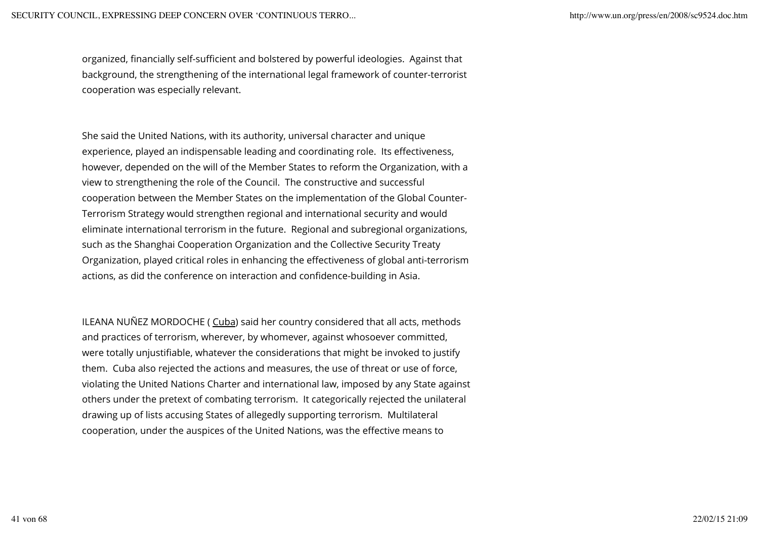organized, financially self-sufficient and bolstered by powerful ideologies. Against that background, the strengthening of the international legal framework of counter-terrorist cooperation was especially relevant.

She said the United Nations, with its authority, universal character and unique experience, played an indispensable leading and coordinating role. Its effectiveness, however, depended on the will of the Member States to reform the Organization, with a view to strengthening the role of the Council. The constructive and successful cooperation between the Member States on the implementation of the Global Counter-Terrorism Strategy would strengthen regional and international security and would eliminate international terrorism in the future. Regional and subregional organizations, such as the Shanghai Cooperation Organization and the Collective Security Treaty Organization, played critical roles in enhancing the effectiveness of global anti-terrorism actions, as did the conference on interaction and confidence-building in Asia.

ILEANA NUÑEZ MORDOCHE ( Cuba) said her country considered that all acts, methods and practices of terrorism, wherever, by whomever, against whosoever committed, were totally unjustifiable, whatever the considerations that might be invoked to justify them. Cuba also rejected the actions and measures, the use of threat or use of force, violating the United Nations Charter and international law, imposed by any State against others under the pretext of combating terrorism. It categorically rejected the unilateral drawing up of lists accusing States of allegedly supporting terrorism. Multilateral cooperation, under the auspices of the United Nations, was the effective means to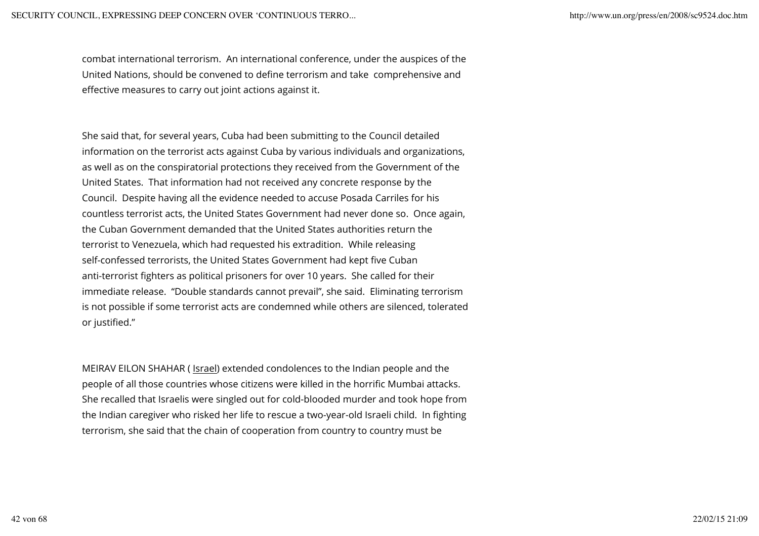combat international terrorism. An international conference, under the auspices of the United Nations, should be convened to define terrorism and take comprehensive and effective measures to carry out joint actions against it.

She said that, for several years, Cuba had been submitting to the Council detailed information on the terrorist acts against Cuba by various individuals and organizations, as well as on the conspiratorial protections they received from the Government of the United States. That information had not received any concrete response by the Council. Despite having all the evidence needed to accuse Posada Carriles for his countless terrorist acts, the United States Government had never done so. Once again, the Cuban Government demanded that the United States authorities return the terrorist to Venezuela, which had requested his extradition. While releasing self-confessed terrorists, the United States Government had kept five Cuban anti-terrorist fighters as political prisoners for over 10 years. She called for their immediate release. "Double standards cannot prevail", she said. Eliminating terrorism is not possible if some terrorist acts are condemned while others are silenced, tolerated or justified."

MEIRAV EILON SHAHAR ( Israel) extended condolences to the Indian people and the people of all those countries whose citizens were killed in the horrific Mumbai attacks. She recalled that Israelis were singled out for cold-blooded murder and took hope from the Indian caregiver who risked her life to rescue a two-year-old Israeli child. In fighting terrorism, she said that the chain of cooperation from country to country must be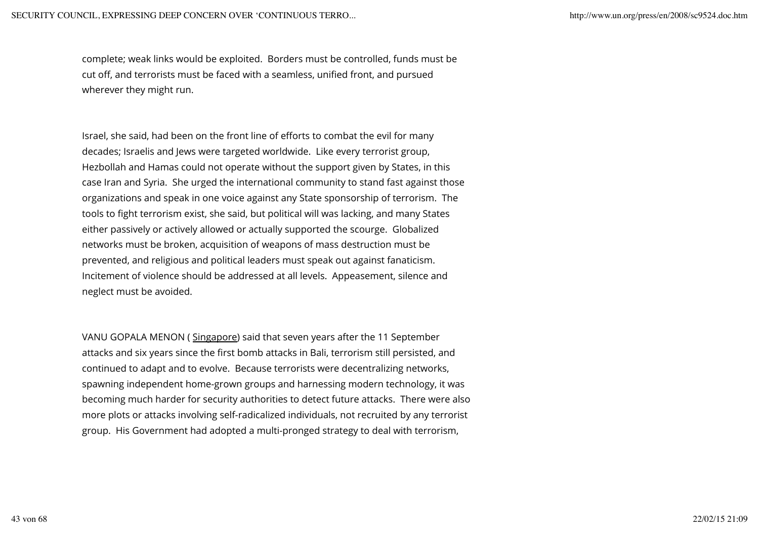complete; weak links would be exploited. Borders must be controlled, funds must be cut off, and terrorists must be faced with a seamless, unified front, and pursued wherever they might run.

Israel, she said, had been on the front line of efforts to combat the evil for many decades; Israelis and Jews were targeted worldwide. Like every terrorist group, Hezbollah and Hamas could not operate without the support given by States, in this case Iran and Syria. She urged the international community to stand fast against those organizations and speak in one voice against any State sponsorship of terrorism. The tools to fight terrorism exist, she said, but political will was lacking, and many States either passively or actively allowed or actually supported the scourge. Globalized networks must be broken, acquisition of weapons of mass destruction must be prevented, and religious and political leaders must speak out against fanaticism. Incitement of violence should be addressed at all levels. Appeasement, silence and neglect must be avoided.

VANU GOPALA MENON ( Singapore) said that seven years after the 11 September attacks and six years since the first bomb attacks in Bali, terrorism still persisted, and continued to adapt and to evolve. Because terrorists were decentralizing networks, spawning independent home-grown groups and harnessing modern technology, it was becoming much harder for security authorities to detect future attacks. There were also more plots or attacks involving self-radicalized individuals, not recruited by any terrorist group. His Government had adopted a multi-pronged strategy to deal with terrorism,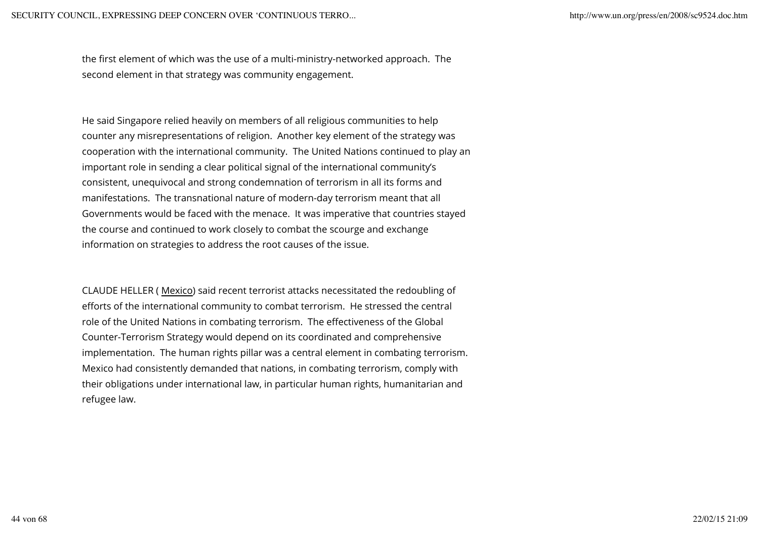the first element of which was the use of a multi-ministry-networked approach. The second element in that strategy was community engagement.

He said Singapore relied heavily on members of all religious communities to help counter any misrepresentations of religion. Another key element of the strategy was cooperation with the international community. The United Nations continued to play an important role in sending a clear political signal of the international community's consistent, unequivocal and strong condemnation of terrorism in all its forms and manifestations. The transnational nature of modern-day terrorism meant that all Governments would be faced with the menace. It was imperative that countries stayed the course and continued to work closely to combat the scourge and exchange information on strategies to address the root causes of the issue.

CLAUDE HELLER ( Mexico) said recent terrorist attacks necessitated the redoubling of efforts of the international community to combat terrorism. He stressed the central role of the United Nations in combating terrorism. The effectiveness of the Global Counter-Terrorism Strategy would depend on its coordinated and comprehensive implementation. The human rights pillar was a central element in combating terrorism. Mexico had consistently demanded that nations, in combating terrorism, comply with their obligations under international law, in particular human rights, humanitarian and refugee law.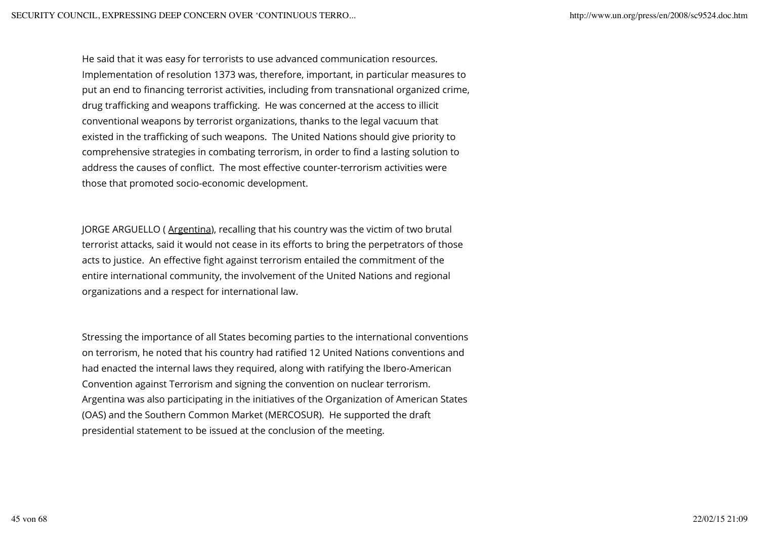He said that it was easy for terrorists to use advanced communication resources. Implementation of resolution 1373 was, therefore, important, in particular measures to put an end to financing terrorist activities, including from transnational organized crime, drug trafficking and weapons trafficking. He was concerned at the access to illicit conventional weapons by terrorist organizations, thanks to the legal vacuum that existed in the trafficking of such weapons. The United Nations should give priority to comprehensive strategies in combating terrorism, in order to find a lasting solution to address the causes of conflict. The most effective counter-terrorism activities were those that promoted socio-economic development.

JORGE ARGUELLO (Argentina), recalling that his country was the victim of two brutal terrorist attacks, said it would not cease in its efforts to bring the perpetrators of those acts to justice. An effective fight against terrorism entailed the commitment of the entire international community, the involvement of the United Nations and regional organizations and a respect for international law.

Stressing the importance of all States becoming parties to the international conventions on terrorism, he noted that his country had ratified 12 United Nations conventions and had enacted the internal laws they required, along with ratifying the Ibero-American Convention against Terrorism and signing the convention on nuclear terrorism. Argentina was also participating in the initiatives of the Organization of American States (OAS) and the Southern Common Market (MERCOSUR). He supported the draft presidential statement to be issued at the conclusion of the meeting.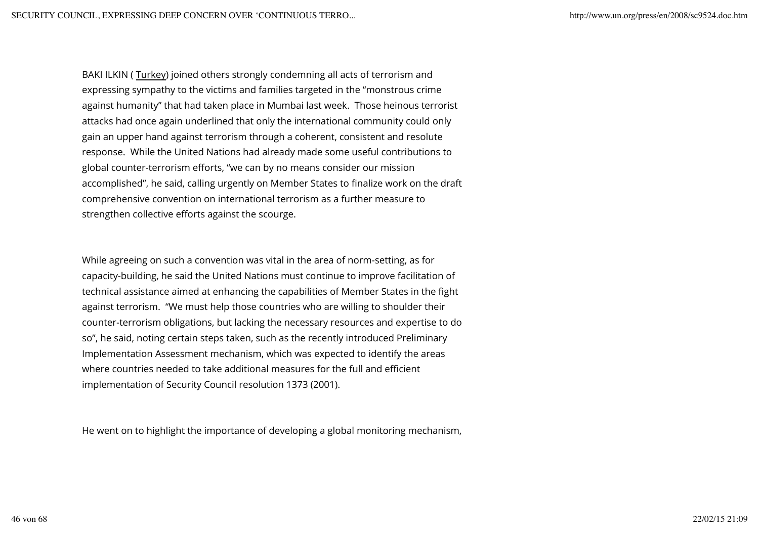BAKI ILKIN ( Turkey) joined others strongly condemning all acts of terrorism and expressing sympathy to the victims and families targeted in the "monstrous crime against humanity" that had taken place in Mumbai last week. Those heinous terrorist attacks had once again underlined that only the international community could only gain an upper hand against terrorism through a coherent, consistent and resolute response. While the United Nations had already made some useful contributions to global counter-terrorism efforts, "we can by no means consider our mission accomplished", he said, calling urgently on Member States to finalize work on the draft comprehensive convention on international terrorism as a further measure to strengthen collective efforts against the scourge.

While agreeing on such a convention was vital in the area of norm-setting, as for capacity-building, he said the United Nations must continue to improve facilitation of technical assistance aimed at enhancing the capabilities of Member States in the fight against terrorism. "We must help those countries who are willing to shoulder their counter-terrorism obligations, but lacking the necessary resources and expertise to do so", he said, noting certain steps taken, such as the recently introduced Preliminary Implementation Assessment mechanism, which was expected to identify the areas where countries needed to take additional measures for the full and efficient implementation of Security Council resolution 1373 (2001).

He went on to highlight the importance of developing a global monitoring mechanism,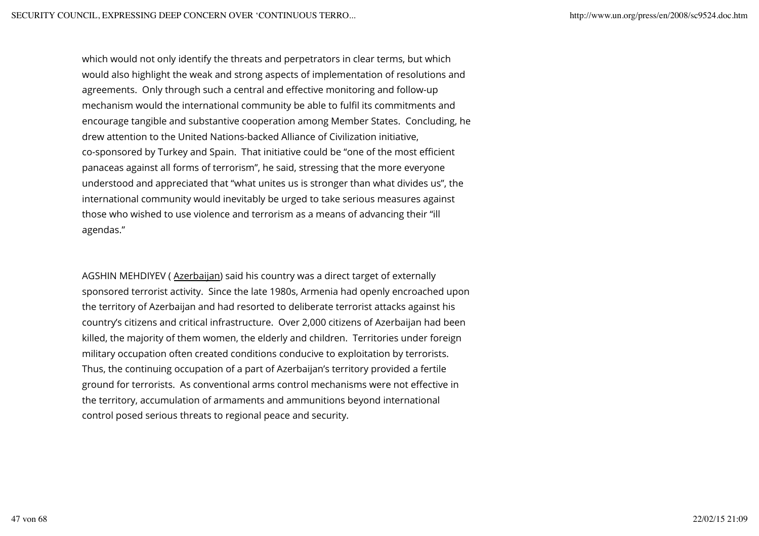which would not only identify the threats and perpetrators in clear terms, but which would also highlight the weak and strong aspects of implementation of resolutions and agreements. Only through such a central and effective monitoring and follow-up mechanism would the international community be able to fulfil its commitments and encourage tangible and substantive cooperation among Member States. Concluding, he drew attention to the United Nations-backed Alliance of Civilization initiative, co-sponsored by Turkey and Spain. That initiative could be "one of the most efficient panaceas against all forms of terrorism", he said, stressing that the more everyone understood and appreciated that "what unites us is stronger than what divides us", the international community would inevitably be urged to take serious measures against those who wished to use violence and terrorism as a means of advancing their "ill agendas."

AGSHIN MEHDIYEV ( Azerbaijan) said his country was a direct target of externally sponsored terrorist activity. Since the late 1980s, Armenia had openly encroached upon the territory of Azerbaijan and had resorted to deliberate terrorist attacks against his country's citizens and critical infrastructure. Over 2,000 citizens of Azerbaijan had been killed, the majority of them women, the elderly and children. Territories under foreign military occupation often created conditions conducive to exploitation by terrorists. Thus, the continuing occupation of a part of Azerbaijan's territory provided a fertile ground for terrorists. As conventional arms control mechanisms were not effective in the territory, accumulation of armaments and ammunitions beyond international control posed serious threats to regional peace and security.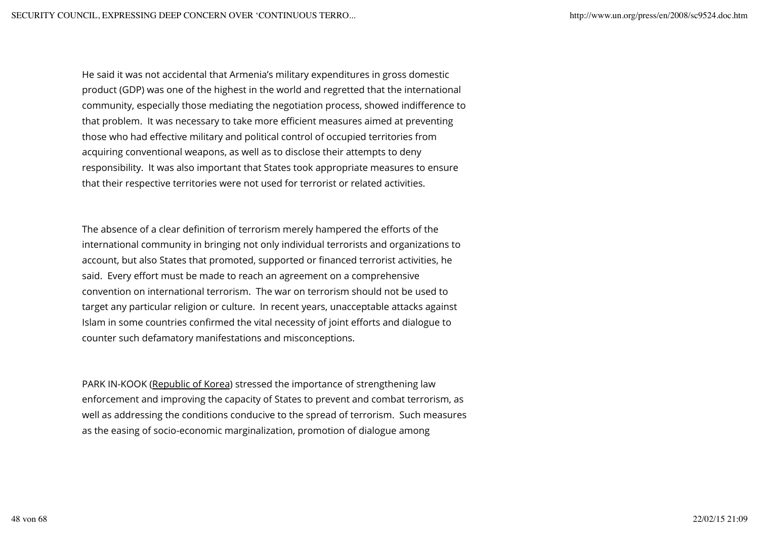He said it was not accidental that Armenia's military expenditures in gross domestic product (GDP) was one of the highest in the world and regretted that the international community, especially those mediating the negotiation process, showed indifference to that problem. It was necessary to take more efficient measures aimed at preventing those who had effective military and political control of occupied territories from acquiring conventional weapons, as well as to disclose their attempts to deny responsibility. It was also important that States took appropriate measures to ensure that their respective territories were not used for terrorist or related activities.

The absence of a clear definition of terrorism merely hampered the efforts of the international community in bringing not only individual terrorists and organizations to account, but also States that promoted, supported or financed terrorist activities, he said. Every effort must be made to reach an agreement on a comprehensive convention on international terrorism. The war on terrorism should not be used to target any particular religion or culture. In recent years, unacceptable attacks against Islam in some countries confirmed the vital necessity of joint efforts and dialogue to counter such defamatory manifestations and misconceptions.

PARK IN-KOOK (Republic of Korea) stressed the importance of strengthening law enforcement and improving the capacity of States to prevent and combat terrorism, as well as addressing the conditions conducive to the spread of terrorism. Such measures as the easing of socio-economic marginalization, promotion of dialogue among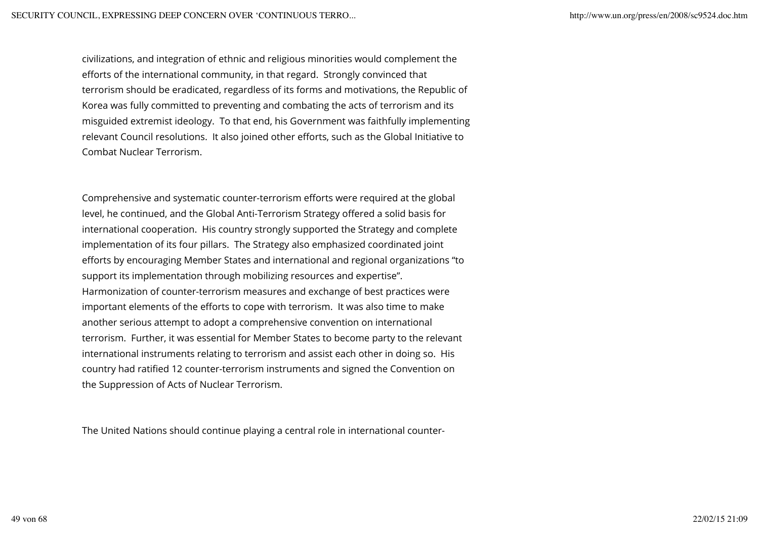civilizations, and integration of ethnic and religious minorities would complement the efforts of the international community, in that regard. Strongly convinced that terrorism should be eradicated, regardless of its forms and motivations, the Republic of Korea was fully committed to preventing and combating the acts of terrorism and its misguided extremist ideology. To that end, his Government was faithfully implementing relevant Council resolutions. It also joined other efforts, such as the Global Initiative to Combat Nuclear Terrorism.

Comprehensive and systematic counter-terrorism efforts were required at the global level, he continued, and the Global Anti-Terrorism Strategy offered a solid basis for international cooperation. His country strongly supported the Strategy and complete implementation of its four pillars. The Strategy also emphasized coordinated joint efforts by encouraging Member States and international and regional organizations "to support its implementation through mobilizing resources and expertise". Harmonization of counter-terrorism measures and exchange of best practices were important elements of the efforts to cope with terrorism. It was also time to make another serious attempt to adopt a comprehensive convention on international terrorism. Further, it was essential for Member States to become party to the relevant international instruments relating to terrorism and assist each other in doing so. His country had ratified 12 counter-terrorism instruments and signed the Convention on the Suppression of Acts of Nuclear Terrorism.

The United Nations should continue playing a central role in international counter-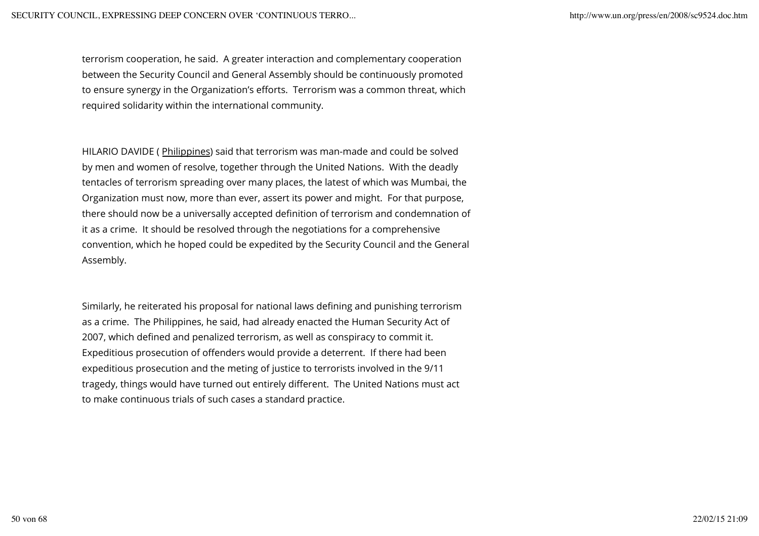terrorism cooperation, he said. A greater interaction and complementary cooperation between the Security Council and General Assembly should be continuously promoted to ensure synergy in the Organization's efforts. Terrorism was a common threat, which required solidarity within the international community.

HILARIO DAVIDE ( Philippines) said that terrorism was man-made and could be solved by men and women of resolve, together through the United Nations. With the deadly tentacles of terrorism spreading over many places, the latest of which was Mumbai, the Organization must now, more than ever, assert its power and might. For that purpose, there should now be a universally accepted definition of terrorism and condemnation of it as a crime. It should be resolved through the negotiations for a comprehensive convention, which he hoped could be expedited by the Security Council and the General Assembly.

Similarly, he reiterated his proposal for national laws defining and punishing terrorism as a crime. The Philippines, he said, had already enacted the Human Security Act of 2007, which defined and penalized terrorism, as well as conspiracy to commit it. Expeditious prosecution of offenders would provide a deterrent. If there had been expeditious prosecution and the meting of justice to terrorists involved in the 9/11 tragedy, things would have turned out entirely different. The United Nations must act to make continuous trials of such cases a standard practice.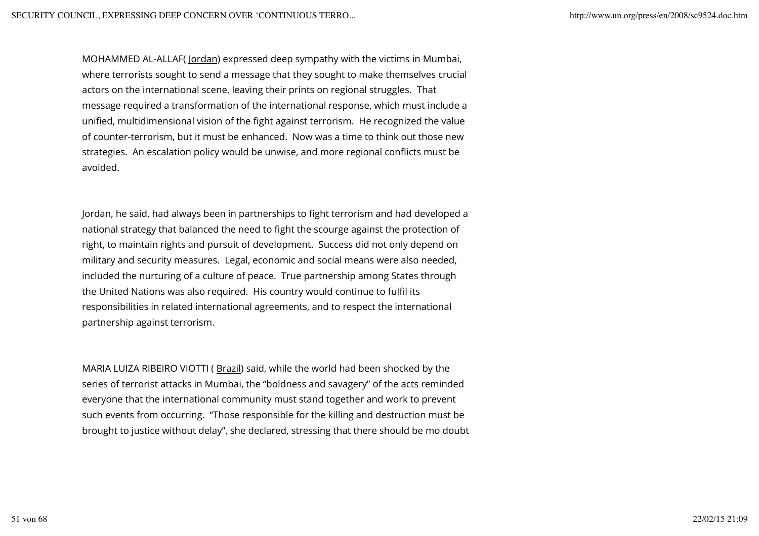MOHAMMED AL-ALLAF( Jordan) expressed deep sympathy with the victims in Mumbai, where terrorists sought to send a message that they sought to make themselves crucial actors on the international scene, leaving their prints on regional struggles. That message required a transformation of the international response, which must include a unified, multidimensional vision of the fight against terrorism. He recognized the value of counter-terrorism, but it must be enhanced. Now was a time to think out those new strategies. An escalation policy would be unwise, and more regional conflicts must be avoided.

Jordan, he said, had always been in partnerships to fight terrorism and had developed a national strategy that balanced the need to fight the scourge against the protection of right, to maintain rights and pursuit of development. Success did not only depend on military and security measures. Legal, economic and social means were also needed, included the nurturing of a culture of peace. True partnership among States through the United Nations was also required. His country would continue to fulfil its responsibilities in related international agreements, and to respect the international partnership against terrorism.

MARIA LUIZA RIBEIRO VIOTTI (Brazil) said, while the world had been shocked by the series of terrorist attacks in Mumbai, the "boldness and savagery" of the acts reminded everyone that the international community must stand together and work to prevent such events from occurring. "Those responsible for the killing and destruction must be brought to justice without delay", she declared, stressing that there should be mo doubt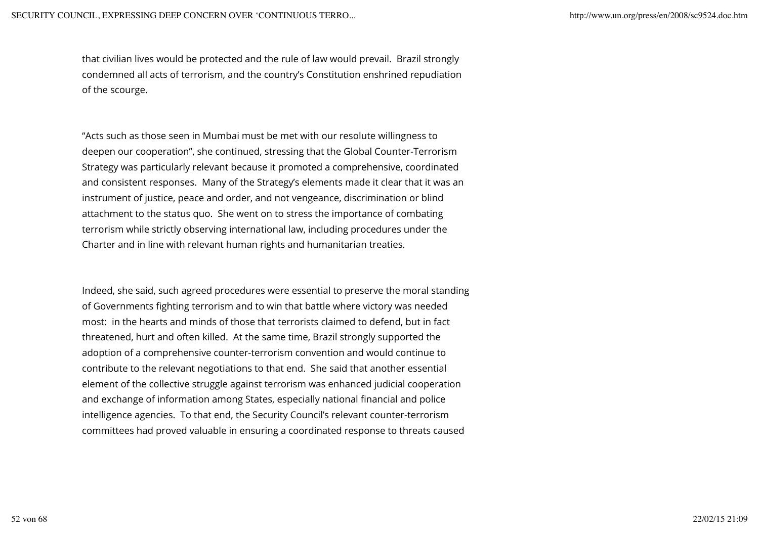that civilian lives would be protected and the rule of law would prevail. Brazil strongly condemned all acts of terrorism, and the country's Constitution enshrined repudiation of the scourge.

"Acts such as those seen in Mumbai must be met with our resolute willingness to deepen our cooperation", she continued, stressing that the Global Counter-Terrorism Strategy was particularly relevant because it promoted a comprehensive, coordinated and consistent responses. Many of the Strategy's elements made it clear that it was an instrument of justice, peace and order, and not vengeance, discrimination or blind attachment to the status quo. She went on to stress the importance of combating terrorism while strictly observing international law, including procedures under the Charter and in line with relevant human rights and humanitarian treaties.

Indeed, she said, such agreed procedures were essential to preserve the moral standing of Governments fighting terrorism and to win that battle where victory was needed most: in the hearts and minds of those that terrorists claimed to defend, but in fact threatened, hurt and often killed. At the same time, Brazil strongly supported the adoption of a comprehensive counter-terrorism convention and would continue to contribute to the relevant negotiations to that end. She said that another essential element of the collective struggle against terrorism was enhanced judicial cooperation and exchange of information among States, especially national financial and police intelligence agencies. To that end, the Security Council's relevant counter-terrorism committees had proved valuable in ensuring a coordinated response to threats caused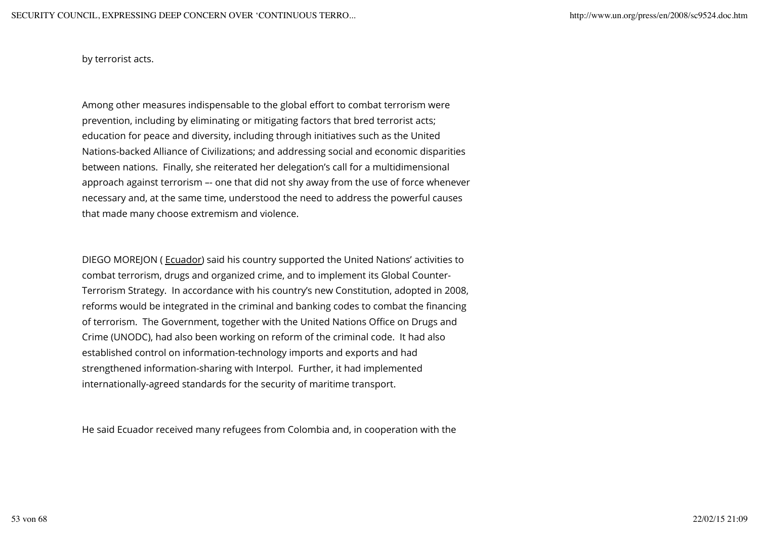by terrorist acts.

Among other measures indispensable to the global effort to combat terrorism were prevention, including by eliminating or mitigating factors that bred terrorist acts; education for peace and diversity, including through initiatives such as the United Nations-backed Alliance of Civilizations; and addressing social and economic disparities between nations. Finally, she reiterated her delegation's call for a multidimensional approach against terrorism –- one that did not shy away from the use of force whenever necessary and, at the same time, understood the need to address the powerful causes that made many choose extremism and violence.

DIEGO MOREJON ( Ecuador) said his country supported the United Nations' activities to combat terrorism, drugs and organized crime, and to implement its Global Counter-Terrorism Strategy. In accordance with his country's new Constitution, adopted in 2008, reforms would be integrated in the criminal and banking codes to combat the financing of terrorism. The Government, together with the United Nations Office on Drugs and Crime (UNODC), had also been working on reform of the criminal code. It had also established control on information-technology imports and exports and had strengthened information-sharing with Interpol. Further, it had implemented internationally-agreed standards for the security of maritime transport.

He said Ecuador received many refugees from Colombia and, in cooperation with the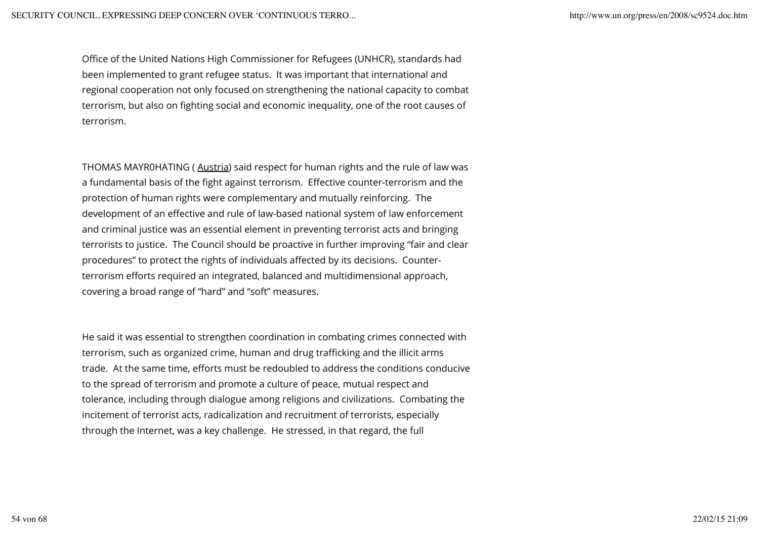Office of the United Nations High Commissioner for Refugees (UNHCR), standards had been implemented to grant refugee status. It was important that international and regional cooperation not only focused on strengthening the national capacity to combat terrorism, but also on fighting social and economic inequality, one of the root causes of terrorism.

THOMAS MAYR0HATING (Austria) said respect for human rights and the rule of law was a fundamental basis of the fight against terrorism. Effective counter-terrorism and the protection of human rights were complementary and mutually reinforcing. The development of an effective and rule of law-based national system of law enforcement and criminal justice was an essential element in preventing terrorist acts and bringing terrorists to justice. The Council should be proactive in further improving "fair and clear procedures" to protect the rights of individuals affected by its decisions. Counterterrorism efforts required an integrated, balanced and multidimensional approach, covering a broad range of "hard" and "soft" measures.

He said it was essential to strengthen coordination in combating crimes connected with terrorism, such as organized crime, human and drug trafficking and the illicit arms trade. At the same time, efforts must be redoubled to address the conditions conducive to the spread of terrorism and promote a culture of peace, mutual respect and tolerance, including through dialogue among religions and civilizations. Combating the incitement of terrorist acts, radicalization and recruitment of terrorists, especially through the Internet, was a key challenge. He stressed, in that regard, the full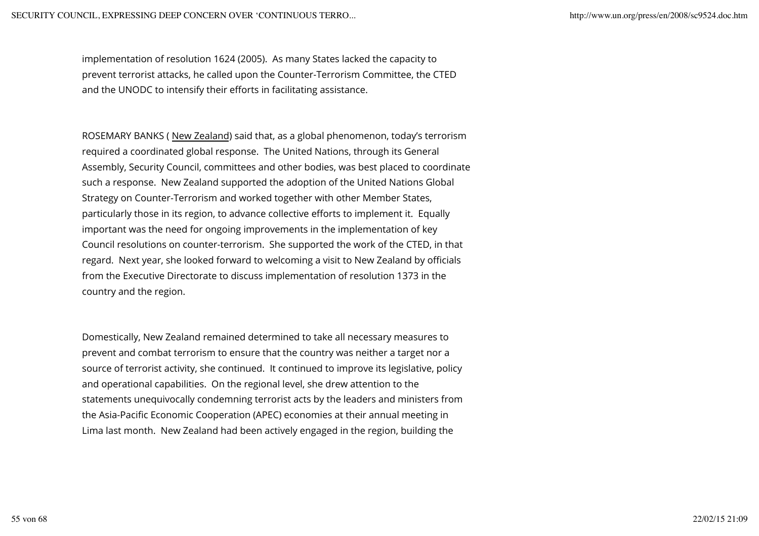implementation of resolution 1624 (2005). As many States lacked the capacity to prevent terrorist attacks, he called upon the Counter-Terrorism Committee, the CTED and the UNODC to intensify their efforts in facilitating assistance.

ROSEMARY BANKS ( New Zealand) said that, as a global phenomenon, today's terrorism required a coordinated global response. The United Nations, through its General Assembly, Security Council, committees and other bodies, was best placed to coordinate such a response. New Zealand supported the adoption of the United Nations Global Strategy on Counter-Terrorism and worked together with other Member States, particularly those in its region, to advance collective efforts to implement it. Equally important was the need for ongoing improvements in the implementation of key Council resolutions on counter-terrorism. She supported the work of the CTED, in that regard. Next year, she looked forward to welcoming a visit to New Zealand by officials from the Executive Directorate to discuss implementation of resolution 1373 in the country and the region.

Domestically, New Zealand remained determined to take all necessary measures to prevent and combat terrorism to ensure that the country was neither a target nor a source of terrorist activity, she continued. It continued to improve its legislative, policy and operational capabilities. On the regional level, she drew attention to the statements unequivocally condemning terrorist acts by the leaders and ministers from the Asia-Pacific Economic Cooperation (APEC) economies at their annual meeting in Lima last month. New Zealand had been actively engaged in the region, building the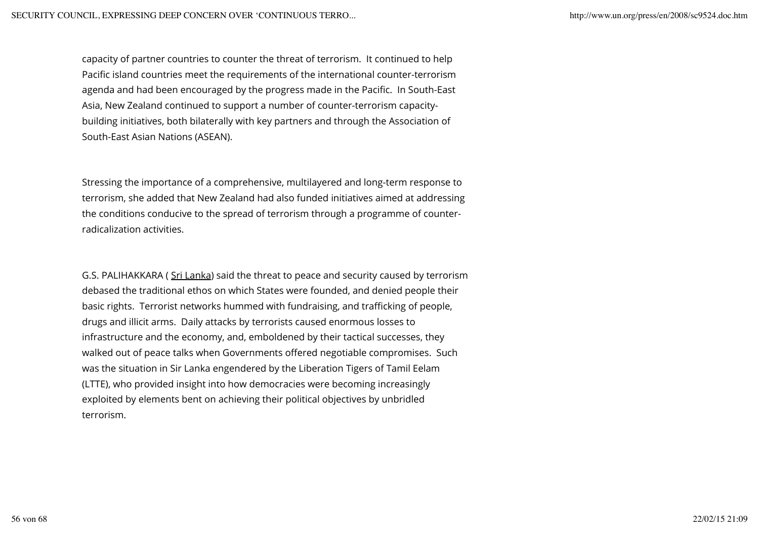capacity of partner countries to counter the threat of terrorism. It continued to help Pacific island countries meet the requirements of the international counter-terrorism agenda and had been encouraged by the progress made in the Pacific. In South-East Asia, New Zealand continued to support a number of counter-terrorism capacitybuilding initiatives, both bilaterally with key partners and through the Association of South-East Asian Nations (ASEAN).

Stressing the importance of a comprehensive, multilayered and long-term response to terrorism, she added that New Zealand had also funded initiatives aimed at addressing the conditions conducive to the spread of terrorism through a programme of counterradicalization activities.

G.S. PALIHAKKARA ( Sri Lanka) said the threat to peace and security caused by terrorism debased the traditional ethos on which States were founded, and denied people their basic rights. Terrorist networks hummed with fundraising, and trafficking of people, drugs and illicit arms. Daily attacks by terrorists caused enormous losses to infrastructure and the economy, and, emboldened by their tactical successes, they walked out of peace talks when Governments offered negotiable compromises. Such was the situation in Sir Lanka engendered by the Liberation Tigers of Tamil Eelam (LTTE), who provided insight into how democracies were becoming increasingly exploited by elements bent on achieving their political objectives by unbridled terrorism.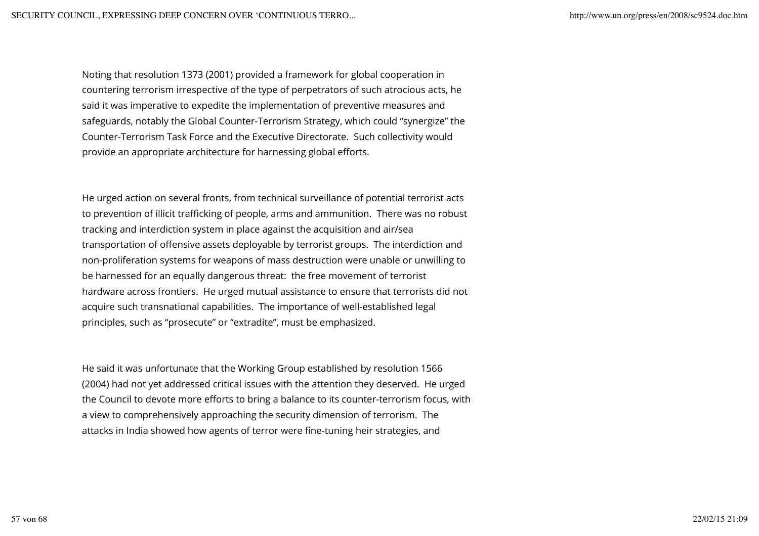Noting that resolution 1373 (2001) provided a framework for global cooperation in countering terrorism irrespective of the type of perpetrators of such atrocious acts, he said it was imperative to expedite the implementation of preventive measures and safeguards, notably the Global Counter-Terrorism Strategy, which could "synergize" the Counter-Terrorism Task Force and the Executive Directorate. Such collectivity would provide an appropriate architecture for harnessing global efforts.

He urged action on several fronts, from technical surveillance of potential terrorist acts to prevention of illicit trafficking of people, arms and ammunition. There was no robust tracking and interdiction system in place against the acquisition and air/sea transportation of offensive assets deployable by terrorist groups. The interdiction and non-proliferation systems for weapons of mass destruction were unable or unwilling to be harnessed for an equally dangerous threat: the free movement of terrorist hardware across frontiers. He urged mutual assistance to ensure that terrorists did not acquire such transnational capabilities. The importance of well-established legal principles, such as "prosecute" or "extradite", must be emphasized.

He said it was unfortunate that the Working Group established by resolution 1566 (2004) had not yet addressed critical issues with the attention they deserved. He urged the Council to devote more efforts to bring a balance to its counter-terrorism focus, with a view to comprehensively approaching the security dimension of terrorism. The attacks in India showed how agents of terror were fine-tuning heir strategies, and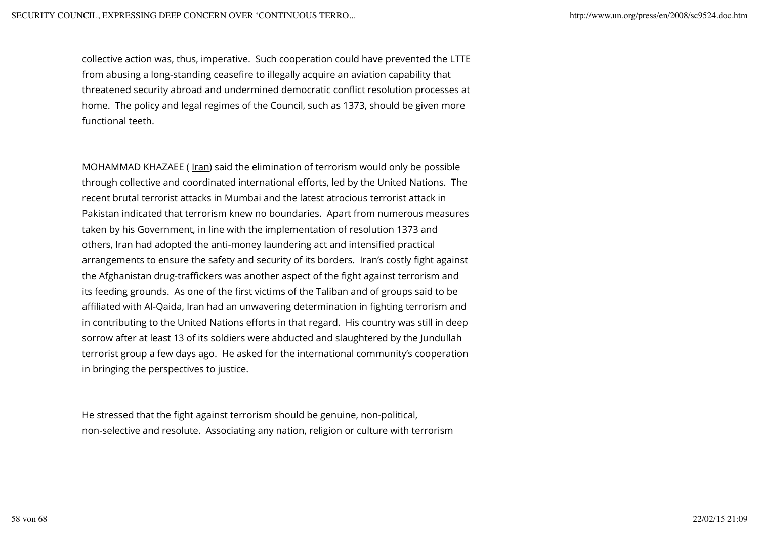collective action was, thus, imperative. Such cooperation could have prevented the LTTE from abusing a long-standing ceasefire to illegally acquire an aviation capability that threatened security abroad and undermined democratic conflict resolution processes at home. The policy and legal regimes of the Council, such as 1373, should be given more functional teeth.

MOHAMMAD KHAZAEE ( Iran) said the elimination of terrorism would only be possible through collective and coordinated international efforts, led by the United Nations. The recent brutal terrorist attacks in Mumbai and the latest atrocious terrorist attack in Pakistan indicated that terrorism knew no boundaries. Apart from numerous measures taken by his Government, in line with the implementation of resolution 1373 and others, Iran had adopted the anti-money laundering act and intensified practical arrangements to ensure the safety and security of its borders. Iran's costly fight against the Afghanistan drug-traffickers was another aspect of the fight against terrorism and its feeding grounds. As one of the first victims of the Taliban and of groups said to be affiliated with Al-Qaida, Iran had an unwavering determination in fighting terrorism and in contributing to the United Nations efforts in that regard. His country was still in deep sorrow after at least 13 of its soldiers were abducted and slaughtered by the Jundullah terrorist group a few days ago. He asked for the international community's cooperation in bringing the perspectives to justice.

He stressed that the fight against terrorism should be genuine, non-political, non-selective and resolute. Associating any nation, religion or culture with terrorism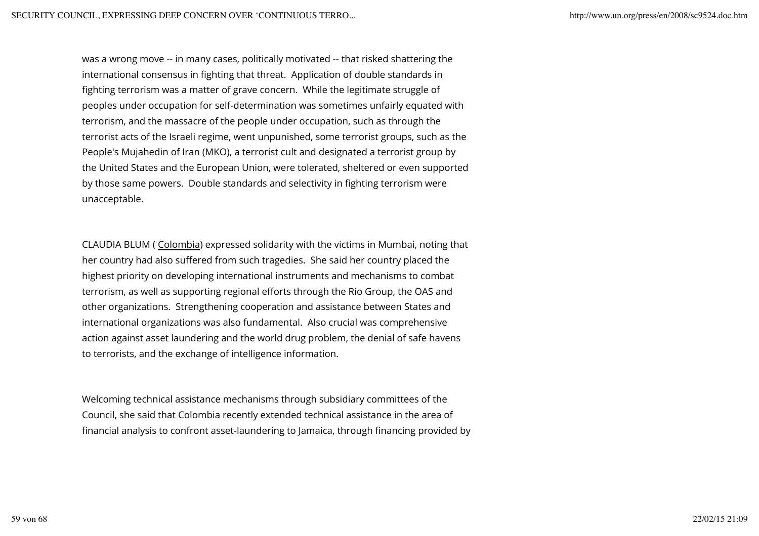was a wrong move -- in many cases, politically motivated -- that risked shattering the international consensus in fighting that threat. Application of double standards in fighting terrorism was a matter of grave concern. While the legitimate struggle of peoples under occupation for self-determination was sometimes unfairly equated with terrorism, and the massacre of the people under occupation, such as through the terrorist acts of the Israeli regime, went unpunished, some terrorist groups, such as the People's Mujahedin of Iran (MKO), a terrorist cult and designated a terrorist group by the United States and the European Union, were tolerated, sheltered or even supported by those same powers. Double standards and selectivity in fighting terrorism were unacceptable.

CLAUDIA BLUM ( Colombia) expressed solidarity with the victims in Mumbai, noting that her country had also suffered from such tragedies. She said her country placed the highest priority on developing international instruments and mechanisms to combat terrorism, as well as supporting regional efforts through the Rio Group, the OAS and other organizations. Strengthening cooperation and assistance between States and international organizations was also fundamental. Also crucial was comprehensive action against asset laundering and the world drug problem, the denial of safe havens to terrorists, and the exchange of intelligence information.

Welcoming technical assistance mechanisms through subsidiary committees of the Council, she said that Colombia recently extended technical assistance in the area of financial analysis to confront asset-laundering to Jamaica, through financing provided by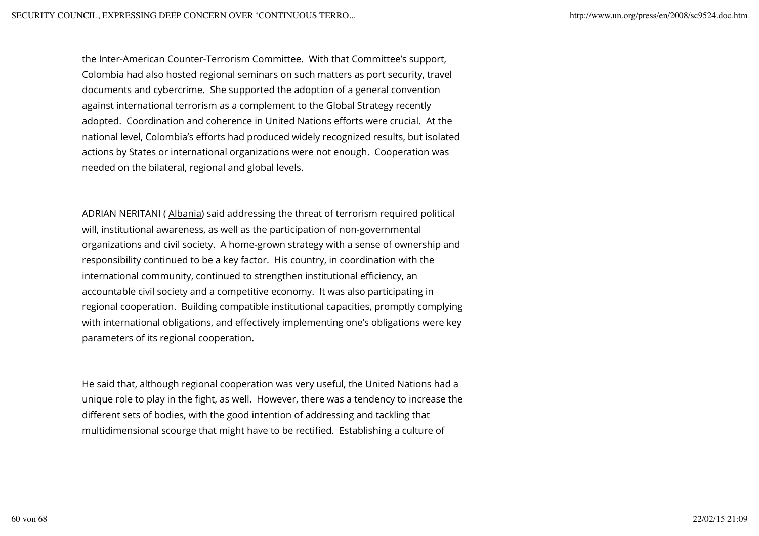the Inter-American Counter-Terrorism Committee. With that Committee's support, Colombia had also hosted regional seminars on such matters as port security, travel documents and cybercrime. She supported the adoption of a general convention against international terrorism as a complement to the Global Strategy recently adopted. Coordination and coherence in United Nations efforts were crucial. At the national level, Colombia's efforts had produced widely recognized results, but isolated actions by States or international organizations were not enough. Cooperation was needed on the bilateral, regional and global levels.

ADRIAN NERITANI ( Albania) said addressing the threat of terrorism required political will, institutional awareness, as well as the participation of non-governmental organizations and civil society. A home-grown strategy with a sense of ownership and responsibility continued to be a key factor. His country, in coordination with the international community, continued to strengthen institutional efficiency, an accountable civil society and a competitive economy. It was also participating in regional cooperation. Building compatible institutional capacities, promptly complying with international obligations, and effectively implementing one's obligations were key parameters of its regional cooperation.

He said that, although regional cooperation was very useful, the United Nations had a unique role to play in the fight, as well. However, there was a tendency to increase the different sets of bodies, with the good intention of addressing and tackling that multidimensional scourge that might have to be rectified. Establishing a culture of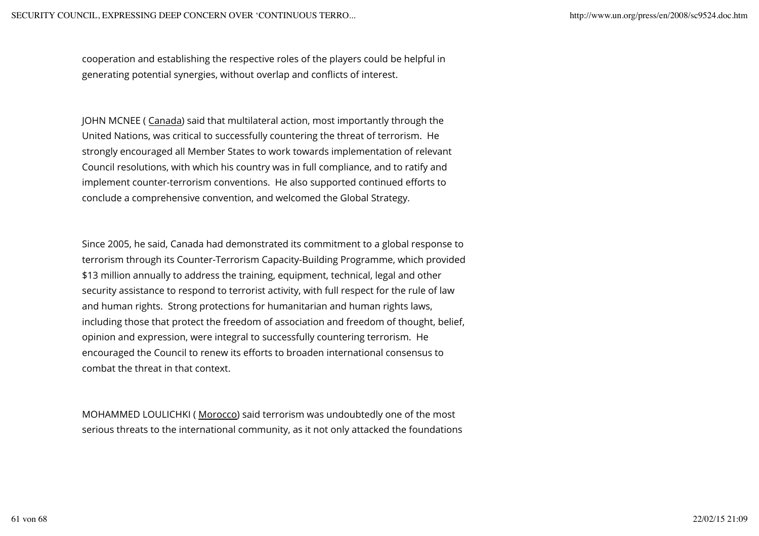cooperation and establishing the respective roles of the players could be helpful in generating potential synergies, without overlap and conflicts of interest.

JOHN MCNEE ( Canada) said that multilateral action, most importantly through the United Nations, was critical to successfully countering the threat of terrorism. He strongly encouraged all Member States to work towards implementation of relevant Council resolutions, with which his country was in full compliance, and to ratify and implement counter-terrorism conventions. He also supported continued efforts to conclude a comprehensive convention, and welcomed the Global Strategy.

Since 2005, he said, Canada had demonstrated its commitment to a global response to terrorism through its Counter-Terrorism Capacity-Building Programme, which provided \$13 million annually to address the training, equipment, technical, legal and other security assistance to respond to terrorist activity, with full respect for the rule of law and human rights. Strong protections for humanitarian and human rights laws, including those that protect the freedom of association and freedom of thought, belief, opinion and expression, were integral to successfully countering terrorism. He encouraged the Council to renew its efforts to broaden international consensus to combat the threat in that context.

MOHAMMED LOULICHKI ( Morocco) said terrorism was undoubtedly one of the most serious threats to the international community, as it not only attacked the foundations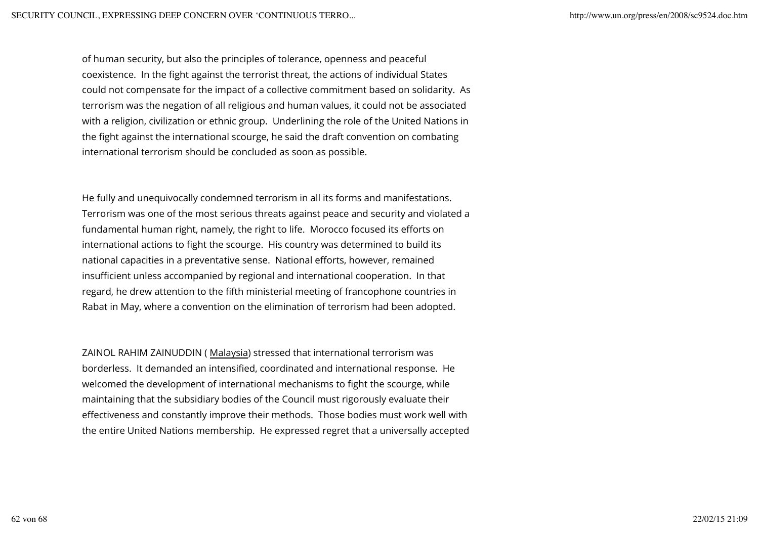of human security, but also the principles of tolerance, openness and peaceful coexistence. In the fight against the terrorist threat, the actions of individual States could not compensate for the impact of a collective commitment based on solidarity. As terrorism was the negation of all religious and human values, it could not be associated with a religion, civilization or ethnic group. Underlining the role of the United Nations in the fight against the international scourge, he said the draft convention on combating international terrorism should be concluded as soon as possible.

He fully and unequivocally condemned terrorism in all its forms and manifestations. Terrorism was one of the most serious threats against peace and security and violated a fundamental human right, namely, the right to life. Morocco focused its efforts on international actions to fight the scourge. His country was determined to build its national capacities in a preventative sense. National efforts, however, remained insufficient unless accompanied by regional and international cooperation. In that regard, he drew attention to the fifth ministerial meeting of francophone countries in Rabat in May, where a convention on the elimination of terrorism had been adopted.

ZAINOL RAHIM ZAINUDDIN ( Malaysia) stressed that international terrorism was borderless. It demanded an intensified, coordinated and international response. He welcomed the development of international mechanisms to fight the scourge, while maintaining that the subsidiary bodies of the Council must rigorously evaluate their effectiveness and constantly improve their methods. Those bodies must work well with the entire United Nations membership. He expressed regret that a universally accepted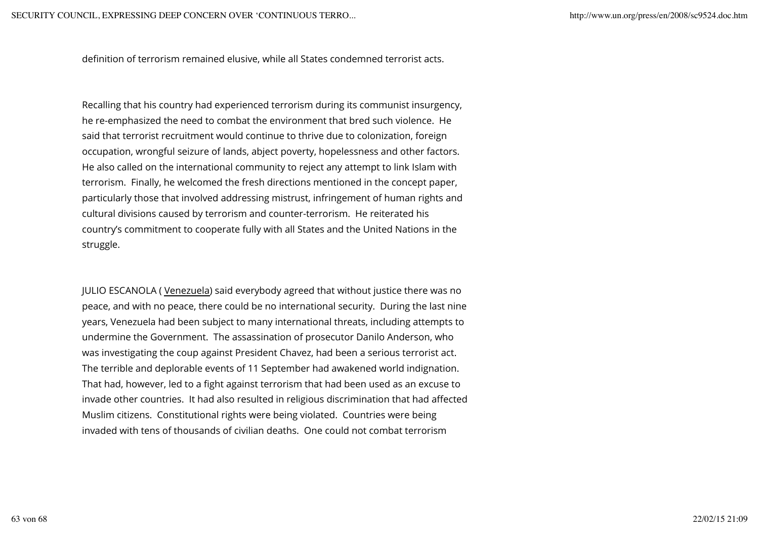definition of terrorism remained elusive, while all States condemned terrorist acts.

Recalling that his country had experienced terrorism during its communist insurgency, he re-emphasized the need to combat the environment that bred such violence. He said that terrorist recruitment would continue to thrive due to colonization, foreign occupation, wrongful seizure of lands, abject poverty, hopelessness and other factors. He also called on the international community to reject any attempt to link Islam with terrorism. Finally, he welcomed the fresh directions mentioned in the concept paper, particularly those that involved addressing mistrust, infringement of human rights and cultural divisions caused by terrorism and counter-terrorism. He reiterated his country's commitment to cooperate fully with all States and the United Nations in the struggle.

JULIO ESCANOLA ( Venezuela) said everybody agreed that without justice there was no peace, and with no peace, there could be no international security. During the last nine years, Venezuela had been subject to many international threats, including attempts to undermine the Government. The assassination of prosecutor Danilo Anderson, who was investigating the coup against President Chavez, had been a serious terrorist act. The terrible and deplorable events of 11 September had awakened world indignation. That had, however, led to a fight against terrorism that had been used as an excuse to invade other countries. It had also resulted in religious discrimination that had affected Muslim citizens. Constitutional rights were being violated. Countries were being invaded with tens of thousands of civilian deaths. One could not combat terrorism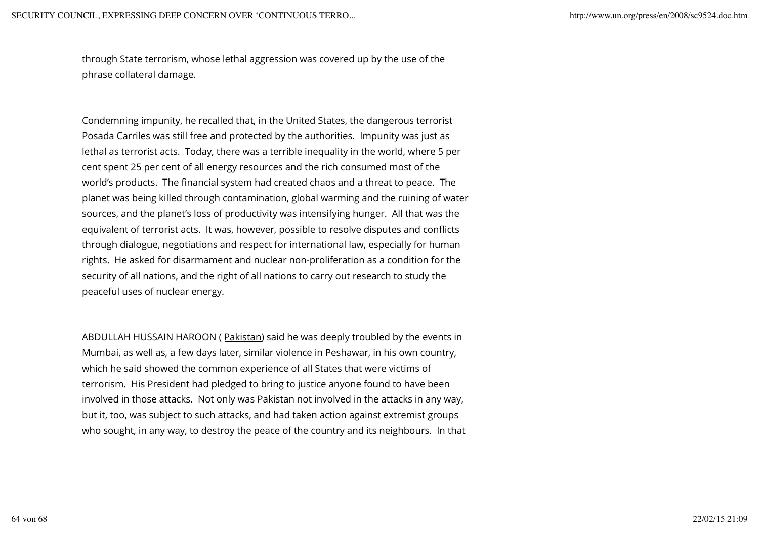through State terrorism, whose lethal aggression was covered up by the use of the phrase collateral damage.

Condemning impunity, he recalled that, in the United States, the dangerous terrorist Posada Carriles was still free and protected by the authorities. Impunity was just as lethal as terrorist acts. Today, there was a terrible inequality in the world, where 5 per cent spent 25 per cent of all energy resources and the rich consumed most of the world's products. The financial system had created chaos and a threat to peace. The planet was being killed through contamination, global warming and the ruining of water sources, and the planet's loss of productivity was intensifying hunger. All that was the equivalent of terrorist acts. It was, however, possible to resolve disputes and conflicts through dialogue, negotiations and respect for international law, especially for human rights. He asked for disarmament and nuclear non-proliferation as a condition for the security of all nations, and the right of all nations to carry out research to study the peaceful uses of nuclear energy.

ABDULLAH HUSSAIN HAROON (Pakistan) said he was deeply troubled by the events in Mumbai, as well as, a few days later, similar violence in Peshawar, in his own country, which he said showed the common experience of all States that were victims of terrorism. His President had pledged to bring to justice anyone found to have been involved in those attacks. Not only was Pakistan not involved in the attacks in any way, but it, too, was subject to such attacks, and had taken action against extremist groups who sought, in any way, to destroy the peace of the country and its neighbours. In that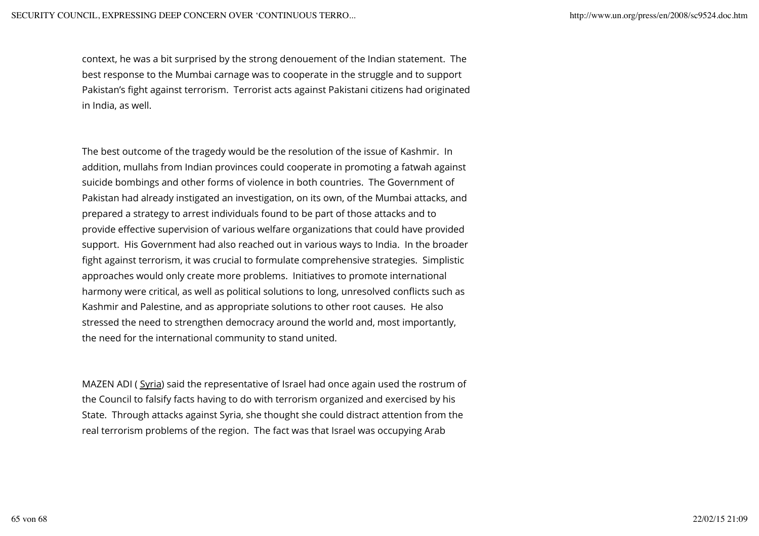context, he was a bit surprised by the strong denouement of the Indian statement. The best response to the Mumbai carnage was to cooperate in the struggle and to support Pakistan's fight against terrorism. Terrorist acts against Pakistani citizens had originated in India, as well.

The best outcome of the tragedy would be the resolution of the issue of Kashmir. In addition, mullahs from Indian provinces could cooperate in promoting a fatwah against suicide bombings and other forms of violence in both countries. The Government of Pakistan had already instigated an investigation, on its own, of the Mumbai attacks, and prepared a strategy to arrest individuals found to be part of those attacks and to provide effective supervision of various welfare organizations that could have provided support. His Government had also reached out in various ways to India. In the broader fight against terrorism, it was crucial to formulate comprehensive strategies. Simplistic approaches would only create more problems. Initiatives to promote international harmony were critical, as well as political solutions to long, unresolved conflicts such as Kashmir and Palestine, and as appropriate solutions to other root causes. He also stressed the need to strengthen democracy around the world and, most importantly, the need for the international community to stand united.

MAZEN ADI (Syria) said the representative of Israel had once again used the rostrum of the Council to falsify facts having to do with terrorism organized and exercised by his State. Through attacks against Syria, she thought she could distract attention from the real terrorism problems of the region. The fact was that Israel was occupying Arab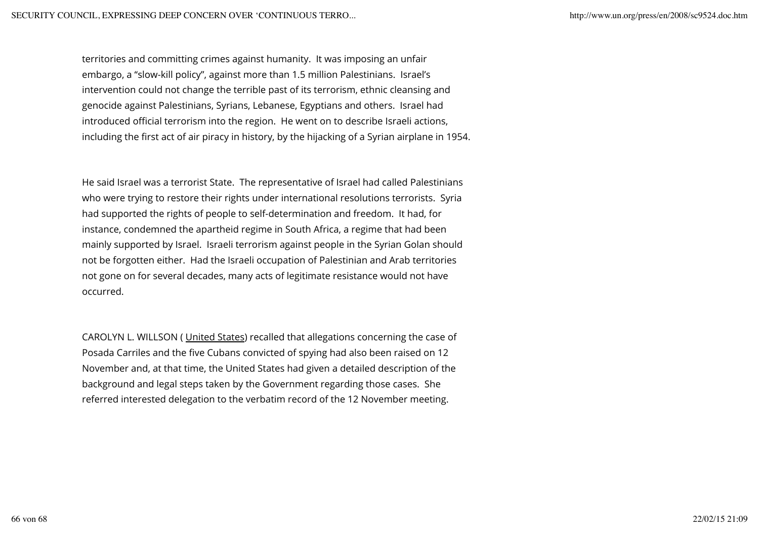territories and committing crimes against humanity. It was imposing an unfair embargo, a "slow-kill policy", against more than 1.5 million Palestinians. Israel's intervention could not change the terrible past of its terrorism, ethnic cleansing and genocide against Palestinians, Syrians, Lebanese, Egyptians and others. Israel had introduced official terrorism into the region. He went on to describe Israeli actions, including the first act of air piracy in history, by the hijacking of a Syrian airplane in 1954.

He said Israel was a terrorist State. The representative of Israel had called Palestinians who were trying to restore their rights under international resolutions terrorists. Syria had supported the rights of people to self-determination and freedom. It had, for instance, condemned the apartheid regime in South Africa, a regime that had been mainly supported by Israel. Israeli terrorism against people in the Syrian Golan should not be forgotten either. Had the Israeli occupation of Palestinian and Arab territories not gone on for several decades, many acts of legitimate resistance would not have occurred.

CAROLYN L. WILLSON ( United States) recalled that allegations concerning the case of Posada Carriles and the five Cubans convicted of spying had also been raised on 12 November and, at that time, the United States had given a detailed description of the background and legal steps taken by the Government regarding those cases. She referred interested delegation to the verbatim record of the 12 November meeting.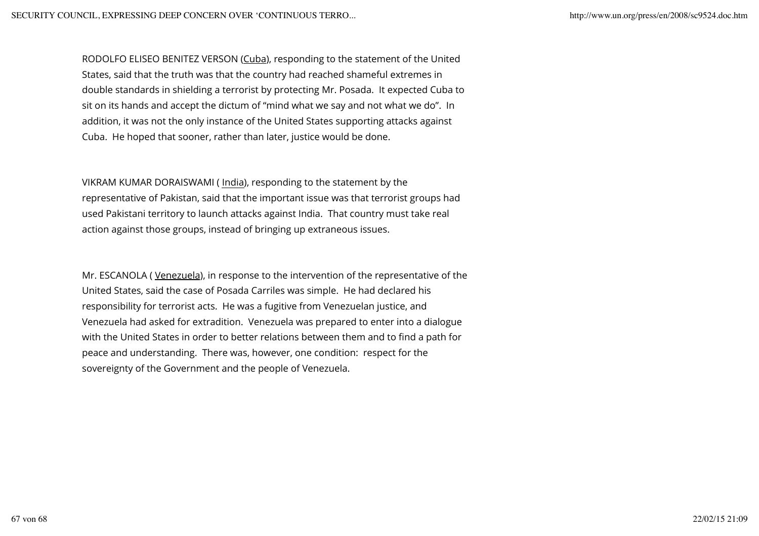RODOLFO ELISEO BENITEZ VERSON (Cuba), responding to the statement of the United States, said that the truth was that the country had reached shameful extremes in double standards in shielding a terrorist by protecting Mr. Posada. It expected Cuba to sit on its hands and accept the dictum of "mind what we say and not what we do". In addition, it was not the only instance of the United States supporting attacks against Cuba. He hoped that sooner, rather than later, justice would be done.

VIKRAM KUMAR DORAISWAMI ( India), responding to the statement by the representative of Pakistan, said that the important issue was that terrorist groups had used Pakistani territory to launch attacks against India. That country must take real action against those groups, instead of bringing up extraneous issues.

Mr. ESCANOLA ( Venezuela), in response to the intervention of the representative of the United States, said the case of Posada Carriles was simple. He had declared his responsibility for terrorist acts. He was a fugitive from Venezuelan justice, and Venezuela had asked for extradition. Venezuela was prepared to enter into a dialogue with the United States in order to better relations between them and to find a path for peace and understanding. There was, however, one condition: respect for the sovereignty of the Government and the people of Venezuela.